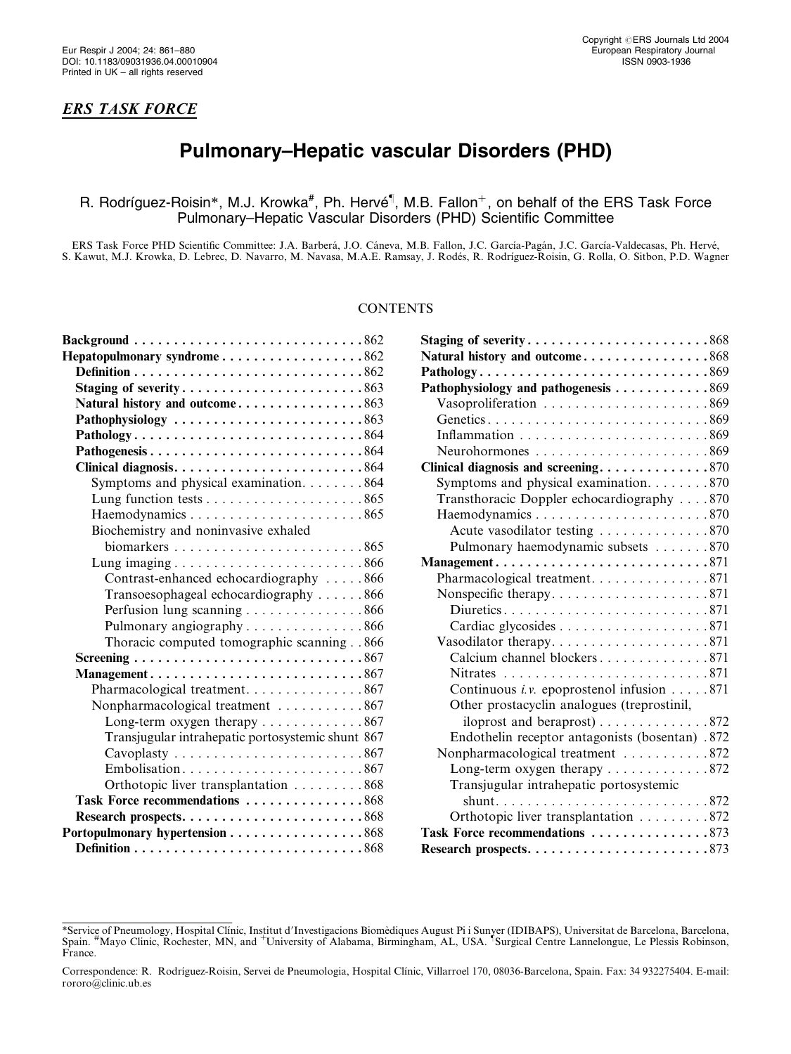## ERS TASK FORCE

# Pulmonary–Hepatic vascular Disorders (PHD)

# R. Rodríguez-Roisin\*, M.J. Krowka<sup>#</sup>, Ph. Hervé<sup>¶</sup>, M.B. Fallon<sup>+</sup>, on behalf of the ERS Task Force Pulmonary–Hepatic Vascular Disorders (PHD) Scientific Committee

ERS Task Force PHD Scientific Committee: J.A. Barberá, J.O. Cáneva, M.B. Fallon, J.C. García-Pagán, J.C. García-Valdecasas, Ph. Hervé, S. Kawut, M.J. Krowka, D. Lebrec, D. Navarro, M. Navasa, M.A.E. Ramsay, J. Rode´s, R. Rodrı´guez-Roisin, G. Rolla, O. Sitbon, P.D. Wagner

### **CONTENTS**

| Background $\ldots \ldots \ldots \ldots \ldots \ldots \ldots \ldots \ldots \ldots \ldots 862$ |
|-----------------------------------------------------------------------------------------------|
| Hepatopulmonary syndrome862                                                                   |
|                                                                                               |
| Staging of severity863                                                                        |
| Natural history and outcome863                                                                |
| Pathophysiology 863                                                                           |
|                                                                                               |
|                                                                                               |
|                                                                                               |
| Symptoms and physical examination. 864                                                        |
|                                                                                               |
|                                                                                               |
| Biochemistry and noninvasive exhaled                                                          |
|                                                                                               |
| Lung imaging $\ldots \ldots \ldots \ldots \ldots \ldots \ldots \ldots 866$                    |
| Contrast-enhanced echocardiography 866                                                        |
| Transoesophageal echocardiography 866                                                         |
| Perfusion lung scanning 866                                                                   |
| Pulmonary angiography 866                                                                     |
| Thoracic computed tomographic scanning 866                                                    |
|                                                                                               |
| Management867                                                                                 |
| Pharmacological treatment. 867                                                                |
| Nonpharmacological treatment 867                                                              |
| Long-term oxygen therapy $\dots \dots \dots \dots \dots 867$                                  |
| Transjugular intrahepatic portosystemic shunt 867                                             |
|                                                                                               |
| Embolisation867                                                                               |
| Orthotopic liver transplantation 868                                                          |
| Task Force recommendations 868                                                                |
|                                                                                               |
| Portopulmonary hypertension 868                                                               |
|                                                                                               |

| Staging of severity868                                                                       |  |
|----------------------------------------------------------------------------------------------|--|
| Natural history and outcome868                                                               |  |
| Pathology869                                                                                 |  |
| Pathophysiology and pathogenesis 869                                                         |  |
| Vasoproliferation 869                                                                        |  |
|                                                                                              |  |
|                                                                                              |  |
|                                                                                              |  |
| Clinical diagnosis and screening870                                                          |  |
| Symptoms and physical examination. 870                                                       |  |
| Transthoracic Doppler echocardiography 870                                                   |  |
|                                                                                              |  |
| Acute vasodilator testing 870                                                                |  |
| Pulmonary haemodynamic subsets 870                                                           |  |
| $\text{Management} \dots \dots \dots \dots \dots \dots \dots \dots \dots \dots \dots \, 871$ |  |
| Pharmacological treatment. 871                                                               |  |
|                                                                                              |  |
|                                                                                              |  |
|                                                                                              |  |
| Vasodilator therapy871                                                                       |  |
| Calcium channel blockers871                                                                  |  |
|                                                                                              |  |
| Continuous <i>i.v.</i> epoprostenol infusion $\dots$ .871                                    |  |
| Other prostacyclin analogues (treprostinil,                                                  |  |
|                                                                                              |  |
| Endothelin receptor antagonists (bosentan) .872                                              |  |
| Nonpharmacological treatment 872                                                             |  |
| Long-term oxygen therapy 872                                                                 |  |
| Transjugular intrahepatic portosystemic                                                      |  |
|                                                                                              |  |
| Orthotopic liver transplantation 872                                                         |  |
| Task Force recommendations 873                                                               |  |
| Research prospects873                                                                        |  |

<sup>\*</sup>Service of Pneumology, Hospital Clínic, Institut d'Investigacions Biomèdiques August Pi i Sunyer (IDIBAPS), Universitat de Barcelona, Barcelona,<br>Spain. #Mayo Clinic, Rochester, MN, and †University of Alabama, Birmingham, France.

Correspondence: R. Rodríguez-Roisin, Servei de Pneumologia, Hospital Clínic, Villarroel 170, 08036-Barcelona, Spain. Fax: 34 932275404. E-mail: rororo@clinic.ub.es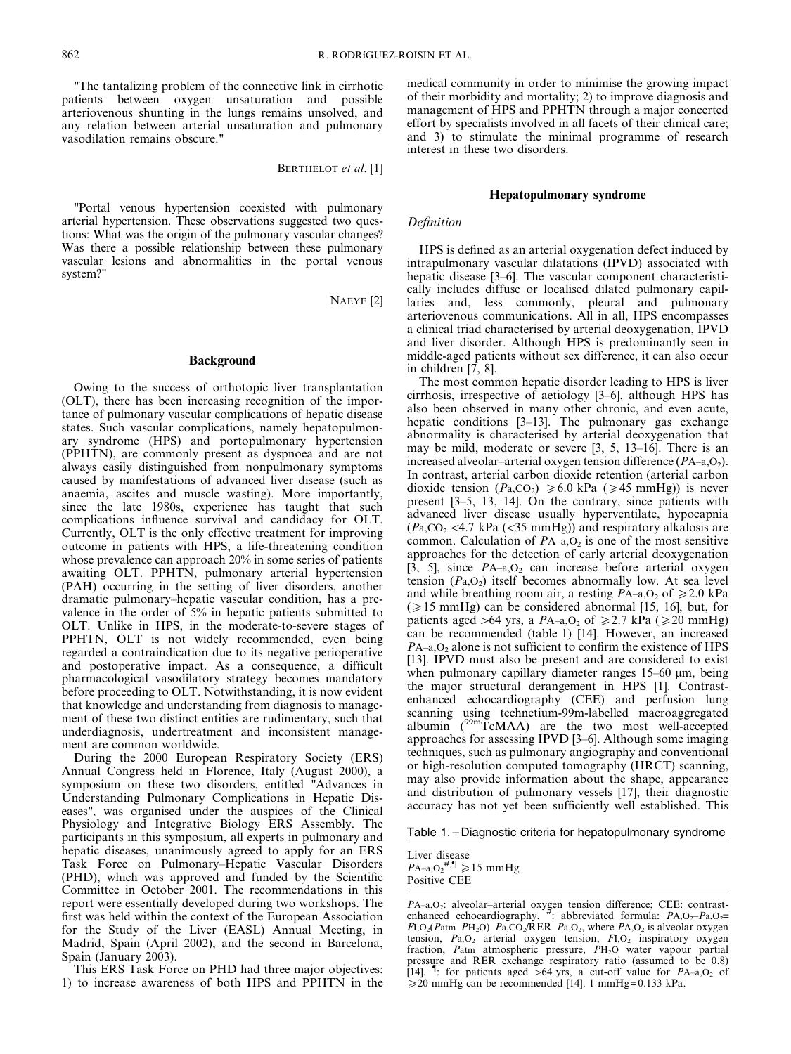"The tantalizing problem of the connective link in cirrhotic patients between oxygen unsaturation and possible arteriovenous shunting in the lungs remains unsolved, and any relation between arterial unsaturation and pulmonary vasodilation remains obscure."

BERTHELOT et al. [1]

"Portal venous hypertension coexisted with pulmonary arterial hypertension. These observations suggested two questions: What was the origin of the pulmonary vascular changes? Was there a possible relationship between these pulmonary vascular lesions and abnormalities in the portal venous system?"

NAEYE [2]

#### Background

Owing to the success of orthotopic liver transplantation (OLT), there has been increasing recognition of the importance of pulmonary vascular complications of hepatic disease states. Such vascular complications, namely hepatopulmonary syndrome (HPS) and portopulmonary hypertension (PPHTN), are commonly present as dyspnoea and are not always easily distinguished from nonpulmonary symptoms caused by manifestations of advanced liver disease (such as anaemia, ascites and muscle wasting). More importantly, since the late 1980s, experience has taught that such complications influence survival and candidacy for OLT. Currently, OLT is the only effective treatment for improving outcome in patients with HPS, a life-threatening condition whose prevalence can approach 20% in some series of patients awaiting OLT. PPHTN, pulmonary arterial hypertension (PAH) occurring in the setting of liver disorders, another dramatic pulmonary–hepatic vascular condition, has a prevalence in the order of 5% in hepatic patients submitted to OLT. Unlike in HPS, in the moderate-to-severe stages of PPHTN, OLT is not widely recommended, even being regarded a contraindication due to its negative perioperative and postoperative impact. As a consequence, a difficult pharmacological vasodilatory strategy becomes mandatory before proceeding to OLT. Notwithstanding, it is now evident that knowledge and understanding from diagnosis to management of these two distinct entities are rudimentary, such that underdiagnosis, undertreatment and inconsistent management are common worldwide.

During the 2000 European Respiratory Society (ERS) Annual Congress held in Florence, Italy (August 2000), a symposium on these two disorders, entitled "Advances in Understanding Pulmonary Complications in Hepatic Diseases", was organised under the auspices of the Clinical Physiology and Integrative Biology ERS Assembly. The participants in this symposium, all experts in pulmonary and hepatic diseases, unanimously agreed to apply for an ERS Task Force on Pulmonary–Hepatic Vascular Disorders (PHD), which was approved and funded by the Scientific Committee in October 2001. The recommendations in this report were essentially developed during two workshops. The first was held within the context of the European Association for the Study of the Liver (EASL) Annual Meeting, in Madrid, Spain (April 2002), and the second in Barcelona, Spain (January 2003).

This ERS Task Force on PHD had three major objectives: 1) to increase awareness of both HPS and PPHTN in the medical community in order to minimise the growing impact of their morbidity and mortality; 2) to improve diagnosis and management of HPS and PPHTN through a major concerted effort by specialists involved in all facets of their clinical care; and 3) to stimulate the minimal programme of research interest in these two disorders.

#### Hepatopulmonary syndrome

#### **Definition**

HPS is defined as an arterial oxygenation defect induced by intrapulmonary vascular dilatations (IPVD) associated with hepatic disease [3–6]. The vascular component characteristically includes diffuse or localised dilated pulmonary capillaries and, less commonly, pleural and pulmonary arteriovenous communications. All in all, HPS encompasses a clinical triad characterised by arterial deoxygenation, IPVD and liver disorder. Although HPS is predominantly seen in middle-aged patients without sex difference, it can also occur in children [7, 8].

The most common hepatic disorder leading to HPS is liver cirrhosis, irrespective of aetiology [3–6], although HPS has also been observed in many other chronic, and even acute, hepatic conditions [3–13]. The pulmonary gas exchange abnormality is characterised by arterial deoxygenation that may be mild, moderate or severe [3, 5, 13–16]. There is an increased alveolar–arterial oxygen tension difference  $(PA_{-a}, O_2)$ . In contrast, arterial carbon dioxide retention (arterial carbon dioxide tension ( $Pa_{\rm CO_2}$ )  $\geq 6.0$  kPa ( $\geq 45$  mmHg)) is never present [3–5, 13, 14]. On the contrary, since patients with advanced liver disease usually hyperventilate, hypocapnia  $(P_a, CO_2 \ll 4.7 \text{ kPa } (\ll 35 \text{ mmHg}))$  and respiratory alkalosis are common. Calculation of  $PA$ –a, $O<sub>2</sub>$  is one of the most sensitive approaches for the detection of early arterial deoxygenation [3, 5], since  $PA_{-a, O_2}$  can increase before arterial oxygen tension  $(P_{a},O_{2})$  itself becomes abnormally low. At sea level and while breathing room air, a resting  $PA_{-a,0}$ , of  $\geq 2.0$  kPa  $(\geq 15 \text{ mmHg})$  can be considered abnormal [15, 16], but, for patients aged >64 yrs, a  $PA_{-a, O_2}$  of  $\geq 2.7$  kPa ( $\geq 20$  mmHg) can be recommended (table 1) [14]. However, an increased  $PA$ –a, $O<sub>2</sub>$  alone is not sufficient to confirm the existence of HPS [13]. IPVD must also be present and are considered to exist when pulmonary capillary diameter ranges 15–60 µm, being the major structural derangement in HPS [1]. Contrastenhanced echocardiography (CEE) and perfusion lung scanning using technetium-99m-labelled macroaggregated albumin (<sup>99m</sup>TcMAA) are the two most well-accepted approaches for assessing IPVD [3–6]. Although some imaging techniques, such as pulmonary angiography and conventional or high-resolution computed tomography (HRCT) scanning, may also provide information about the shape, appearance and distribution of pulmonary vessels [17], their diagnostic accuracy has not yet been sufficiently well established. This

Table 1. – Diagnostic criteria for hepatopulmonary syndrome

Liver disease  $PA$ –a,O<sub>2</sub><sup>#,¶</sup> ≥15 mmHg Positive CEE

 $PA$ –a,O<sub>2</sub>: alveolar–arterial oxygen tension difference; CEE: contrast-<br>enhanced echocardiography. <sup>#</sup>: abbreviated formula:  $PA$ ,O<sub>2</sub>– $Pa$ ,O<sub>2</sub>=<br> $F1$ ,O<sub>2</sub>( $P$ atm– $PH_2O$ )– $Pa$ ,CO<sub>2</sub>/RER– $Pa$ ,O<sub>2</sub>, where  $PA$ ,O<sub>2</sub> is alveolar o tension,  $Pa, O<sub>2</sub>$  arterial oxygen tension,  $F1, O<sub>2</sub>$  inspiratory oxygen fraction, Patm atmospheric pressure, PH<sub>2</sub>O water vapour partial pressure and RER exchange respiratory ratio (assumed to be 0.8) [14]. <sup>1</sup>: for patients aged >64 yrs, a cut-off value for  $PA$ –a,O<sub>2</sub> of  $\geq$  20 mmHg can be recommended [14]. 1 mmHg=0.133 kPa.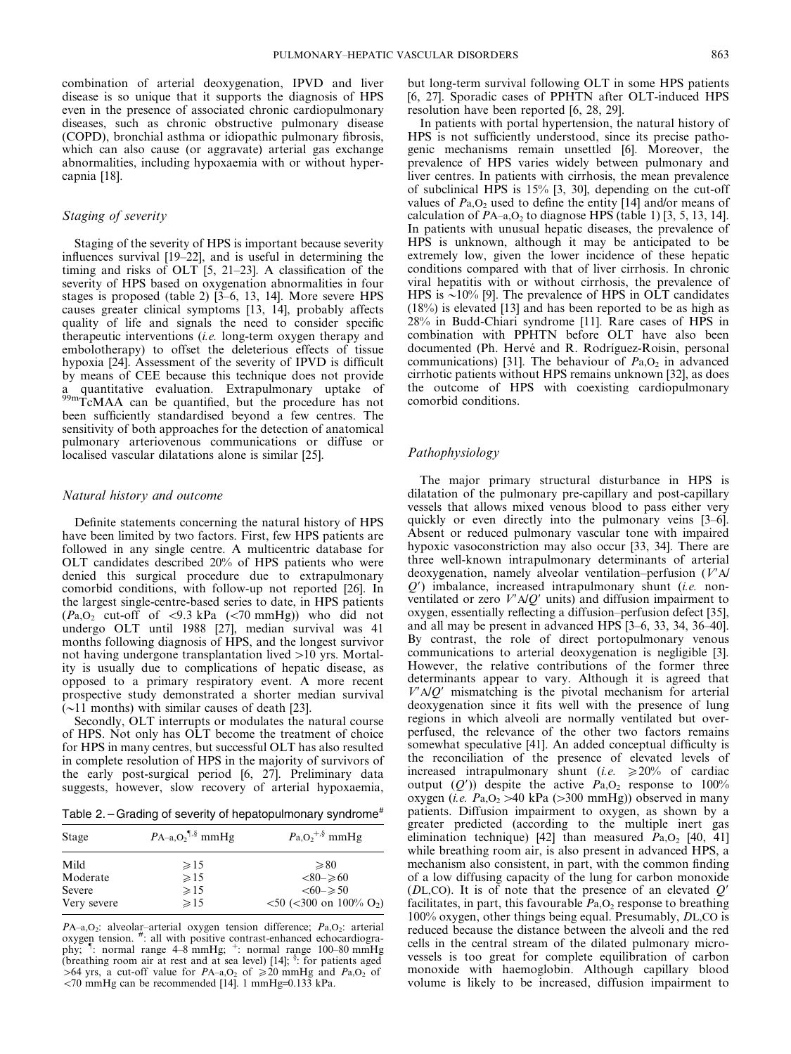combination of arterial deoxygenation, IPVD and liver disease is so unique that it supports the diagnosis of HPS even in the presence of associated chronic cardiopulmonary diseases, such as chronic obstructive pulmonary disease (COPD), bronchial asthma or idiopathic pulmonary fibrosis, which can also cause (or aggravate) arterial gas exchange abnormalities, including hypoxaemia with or without hypercapnia [18].

#### Staging of severity

Staging of the severity of HPS is important because severity influences survival [19–22], and is useful in determining the timing and risks of OLT [5, 21–23]. A classification of the severity of HPS based on oxygenation abnormalities in four stages is proposed (table 2) [3–6, 13, 14]. More severe HPS causes greater clinical symptoms [13, 14], probably affects quality of life and signals the need to consider specific therapeutic interventions (i.e. long-term oxygen therapy and embolotherapy) to offset the deleterious effects of tissue hypoxia [24]. Assessment of the severity of IPVD is difficult by means of CEE because this technique does not provide a quantitative evaluation. Extrapulmonary uptake of 99mTcMAA can be quantified, but the procedure has not been sufficiently standardised beyond a few centres. The sensitivity of both approaches for the detection of anatomical pulmonary arteriovenous communications or diffuse or localised vascular dilatations alone is similar [25].

#### Natural history and outcome

Definite statements concerning the natural history of HPS have been limited by two factors. First, few HPS patients are followed in any single centre. A multicentric database for OLT candidates described 20% of HPS patients who were denied this surgical procedure due to extrapulmonary comorbid conditions, with follow-up not reported [26]. In the largest single-centre-based series to date, in HPS patients  $(Pa.O_2$  cut-off of <9.3 kPa (<70 mmHg)) who did not undergo OLT until 1988 [27], median survival was 41 months following diagnosis of HPS, and the longest survivor not having undergone transplantation lived  $>10$  yrs. Mortality is usually due to complications of hepatic disease, as opposed to a primary respiratory event. A more recent prospective study demonstrated a shorter median survival  $\sqrt{(-11)}$  months) with similar causes of death [23].

Secondly, OLT interrupts or modulates the natural course of HPS. Not only has OLT become the treatment of choice for HPS in many centres, but successful OLT has also resulted in complete resolution of HPS in the majority of survivors of the early post-surgical period [6, 27]. Preliminary data suggests, however, slow recovery of arterial hypoxaemia,

Table 2. – Grading of severity of hepatopulmonary syndrome<sup>#</sup>

| Stage       | $PA-a, O_2$ <sup>[[,§ </sup> mmHg | $Pa_{1}O_{2}^{+,8}$ mmHg                                              |
|-------------|-----------------------------------|-----------------------------------------------------------------------|
| Mild        | $\geqslant$ 15                    | $\geq 80$                                                             |
| Moderate    | $\geq 15$                         | $<80 - \geq 60$                                                       |
| Severe      | $\geqslant$ 15                    | $<\!\!60\!\!-\!\geqslant 50$                                          |
| Very severe | $\geq 15$                         | $\langle 50 \rangle$ ( $\langle 300 \rangle$ on 100% O <sub>2</sub> ) |

 $PA$ –a,O<sub>2</sub>: alveolar–arterial oxygen tension difference;  $Pa$ ,O<sub>2</sub>: arterial oxygen tension. # : all with positive contrast-enhanced echocardiography;  $\frac{1}{2}$ : normal range  $4-8$  mmHg;  $\frac{1}{2}$ : normal range 100–80 mmHg (breathing room air at rest and at sea level) [14]; § : for patients aged >64 yrs, a cut-off value for  $PA-a, O_2$  of  $\ge 20$  mmHg and  $Pa, O_2$  of  $\langle 70 \text{ mmHg} \rangle$  can be recommended [14]. 1 mmHg=0.133 kPa.

but long-term survival following OLT in some HPS patients [6, 27]. Sporadic cases of PPHTN after OLT-induced HPS resolution have been reported [6, 28, 29].

In patients with portal hypertension, the natural history of HPS is not sufficiently understood, since its precise pathogenic mechanisms remain unsettled [6]. Moreover, the prevalence of HPS varies widely between pulmonary and liver centres. In patients with cirrhosis, the mean prevalence of subclinical HPS is 15% [3, 30], depending on the cut-off values of  $Pa_1O_2$  used to define the entity [14] and/or means of calculation of  $PA_{-a, O_2}$  to diagnose HPS (table 1) [3, 5, 13, 14]. In patients with unusual hepatic diseases, the prevalence of HPS is unknown, although it may be anticipated to be extremely low, given the lower incidence of these hepatic conditions compared with that of liver cirrhosis. In chronic viral hepatitis with or without cirrhosis, the prevalence of HPS is  $\sim$ 10% [9]. The prevalence of HPS in OLT candidates (18%) is elevated [13] and has been reported to be as high as 28% in Budd-Chiari syndrome [11]. Rare cases of HPS in combination with PPHTN before OLT have also been documented (Ph. Hervé and R. Rodríguez-Roisin, personal communications) [31]. The behaviour of  $Pa<sub>1</sub>O<sub>2</sub>$  in advanced cirrhotic patients without HPS remains unknown [32], as does the outcome of HPS with coexisting cardiopulmonary comorbid conditions.

#### Pathophysiology

The major primary structural disturbance in HPS is dilatation of the pulmonary pre-capillary and post-capillary vessels that allows mixed venous blood to pass either very quickly or even directly into the pulmonary veins [3–6]. Absent or reduced pulmonary vascular tone with impaired hypoxic vasoconstriction may also occur [33, 34]. There are three well-known intrapulmonary determinants of arterial deoxygenation, namely alveolar ventilation–perfusion  $(V'A)$  $O'$ ) imbalance, increased intrapulmonary shunt (*i.e.* nonventilated or zero  $V'$ A/Q' units) and diffusion impairment to oxygen, essentially reflecting a diffusion–perfusion defect [35], and all may be present in advanced HPS [3–6, 33, 34, 36–40]. By contrast, the role of direct portopulmonary venous communications to arterial deoxygenation is negligible [3]. However, the relative contributions of the former three determinants appear to vary. Although it is agreed that  $V'$ A/O' mismatching is the pivotal mechanism for arterial deoxygenation since it fits well with the presence of lung regions in which alveoli are normally ventilated but overperfused, the relevance of the other two factors remains somewhat speculative [41]. An added conceptual difficulty is the reconciliation of the presence of elevated levels of increased intrapulmonary shunt (i.e.  $\geq 20\%$  of cardiac output  $(Q')$ ) despite the active  $P_{a, O_2}$  response to 100% oxygen (*i.e.*  $Pa_{1}O_{2} > 40$  kPa ( $>300$  mmHg)) observed in many patients. Diffusion impairment to oxygen, as shown by a greater predicted (according to the multiple inert gas elimination technique) [42] than measured  $P_{a, O_2}$  [40, 41] while breathing room air, is also present in advanced HPS, a mechanism also consistent, in part, with the common finding of a low diffusing capacity of the lung for carbon monoxide ( $DL,CO$ ). It is of note that the presence of an elevated  $Q'$ facilitates, in part, this favourable  $Pa<sub>1</sub>O<sub>2</sub>$  response to breathing 100% oxygen, other things being equal. Presumably, DL,CO is reduced because the distance between the alveoli and the red cells in the central stream of the dilated pulmonary microvessels is too great for complete equilibration of carbon monoxide with haemoglobin. Although capillary blood volume is likely to be increased, diffusion impairment to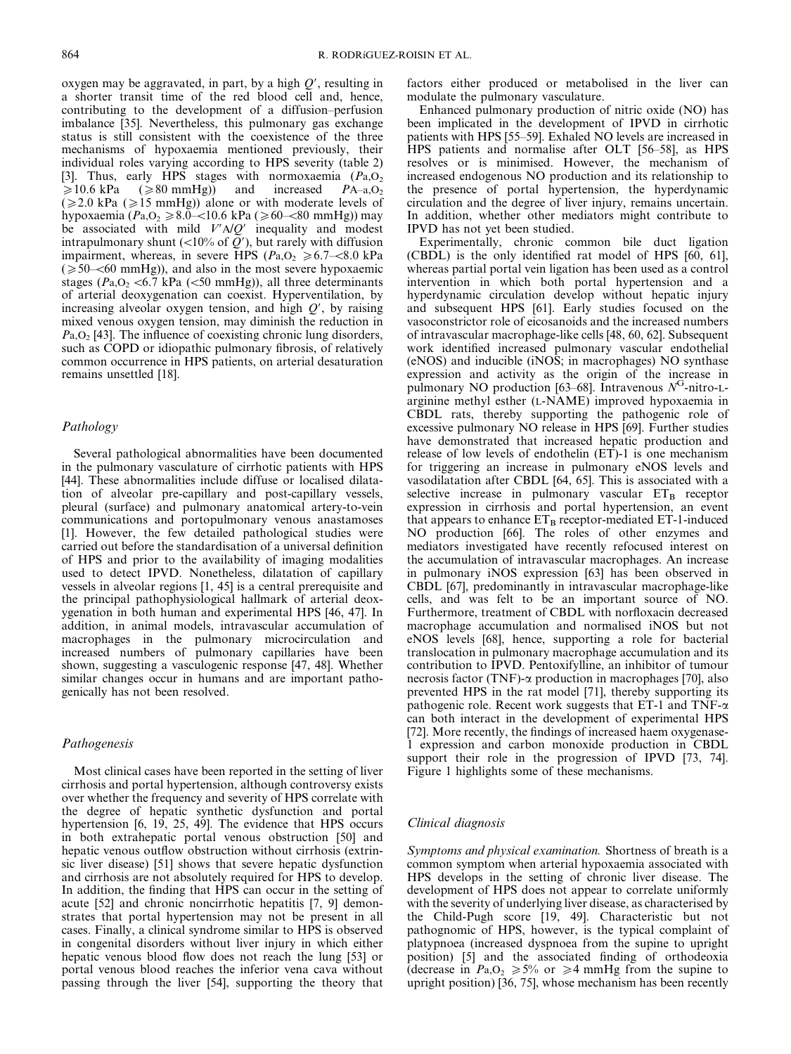oxygen may be aggravated, in part, by a high  $Q'$ , resulting in a shorter transit time of the red blood cell and, hence, contributing to the development of a diffusion–perfusion imbalance [35]. Nevertheless, this pulmonary gas exchange status is still consistent with the coexistence of the three mechanisms of hypoxaemia mentioned previously, their individual roles varying according to HPS severity (table 2) [3]. Thus, early HPS stages with normoxaemia  $(Pa, O<sub>2</sub>)$  $\geq 10.6$  kPa ( $\geq 80$  mmHg)) and increased PA–a,O<sub>2</sub>  $(\geq 2.0 \text{ kPa } (\geq 15 \text{ mmHg}))$  alone or with moderate levels of hypoxaemia ( $Pa, O_2 \ge 8.0$ –<10.6 kPa ( $\ge 60$ –<80 mmHg)) may be associated with mild  $V'AD'$  inequality and modest intrapulmonary shunt  $\left(\langle 10\% \text{ of } \overline{O'} \right)$ , but rarely with diffusion impairment, whereas, in severe HPS ( $Pa, O_2 \ge 6.7 \le 8.0$  kPa  $(\geq 50$ – $\leq 60$  mmHg)), and also in the most severe hypoxaemic stages ( $P_{a,0_2}$  <6.7 kPa (<50 mmHg)), all three determinants of arterial deoxygenation can coexist. Hyperventilation, by increasing alveolar oxygen tension, and high  $O'$ , by raising mixed venous oxygen tension, may diminish the reduction in  $Pa, O<sub>2</sub>$  [43]. The influence of coexisting chronic lung disorders, such as COPD or idiopathic pulmonary fibrosis, of relatively common occurrence in HPS patients, on arterial desaturation remains unsettled [18].

#### Pathology

Several pathological abnormalities have been documented in the pulmonary vasculature of cirrhotic patients with HPS [44]. These abnormalities include diffuse or localised dilatation of alveolar pre-capillary and post-capillary vessels, pleural (surface) and pulmonary anatomical artery-to-vein communications and portopulmonary venous anastamoses [1]. However, the few detailed pathological studies were carried out before the standardisation of a universal definition of HPS and prior to the availability of imaging modalities used to detect IPVD. Nonetheless, dilatation of capillary vessels in alveolar regions [1, 45] is a central prerequisite and the principal pathophysiological hallmark of arterial deoxygenation in both human and experimental HPS [46, 47]. In addition, in animal models, intravascular accumulation of macrophages in the pulmonary microcirculation and increased numbers of pulmonary capillaries have been shown, suggesting a vasculogenic response [47, 48]. Whether similar changes occur in humans and are important pathogenically has not been resolved.

#### Pathogenesis

Most clinical cases have been reported in the setting of liver cirrhosis and portal hypertension, although controversy exists over whether the frequency and severity of HPS correlate with the degree of hepatic synthetic dysfunction and portal hypertension [6, 19, 25, 49]. The evidence that HPS occurs in both extrahepatic portal venous obstruction [50] and hepatic venous outflow obstruction without cirrhosis (extrinsic liver disease) [51] shows that severe hepatic dysfunction and cirrhosis are not absolutely required for HPS to develop. In addition, the finding that HPS can occur in the setting of acute [52] and chronic noncirrhotic hepatitis [7, 9] demonstrates that portal hypertension may not be present in all cases. Finally, a clinical syndrome similar to HPS is observed in congenital disorders without liver injury in which either hepatic venous blood flow does not reach the lung [53] or portal venous blood reaches the inferior vena cava without passing through the liver [54], supporting the theory that

factors either produced or metabolised in the liver can modulate the pulmonary vasculature.

Enhanced pulmonary production of nitric oxide (NO) has been implicated in the development of IPVD in cirrhotic patients with HPS [55–59]. Exhaled NO levels are increased in HPS patients and normalise after OLT [56–58], as HPS resolves or is minimised. However, the mechanism of increased endogenous NO production and its relationship to the presence of portal hypertension, the hyperdynamic circulation and the degree of liver injury, remains uncertain. In addition, whether other mediators might contribute to IPVD has not yet been studied.

Experimentally, chronic common bile duct ligation (CBDL) is the only identified rat model of HPS [60, 61], whereas partial portal vein ligation has been used as a control intervention in which both portal hypertension and a hyperdynamic circulation develop without hepatic injury and subsequent HPS [61]. Early studies focused on the vasoconstrictor role of eicosanoids and the increased numbers of intravascular macrophage-like cells [48, 60, 62]. Subsequent work identified increased pulmonary vascular endothelial (eNOS) and inducible (iNOS; in macrophages) NO synthase expression and activity as the origin of the increase in pulmonary NO production [63–68]. Intravenous  $N<sup>G</sup>$ -nitro-Larginine methyl esther (L-NAME) improved hypoxaemia in CBDL rats, thereby supporting the pathogenic role of excessive pulmonary NO release in HPS [69]. Further studies have demonstrated that increased hepatic production and release of low levels of endothelin  $(ET)$ -1 is one mechanism for triggering an increase in pulmonary eNOS levels and vasodilatation after CBDL [64, 65]. This is associated with a selective increase in pulmonary vascular  $ET_B$  receptor expression in cirrhosis and portal hypertension, an event that appears to enhance  $ET_B$  receptor-mediated  $ET-1$ -induced NO production [66]. The roles of other enzymes and mediators investigated have recently refocused interest on the accumulation of intravascular macrophages. An increase in pulmonary iNOS expression [63] has been observed in CBDL [67], predominantly in intravascular macrophage-like cells, and was felt to be an important source of NO. Furthermore, treatment of CBDL with norfloxacin decreased macrophage accumulation and normalised iNOS but not eNOS levels [68], hence, supporting a role for bacterial translocation in pulmonary macrophage accumulation and its contribution to IPVD. Pentoxifylline, an inhibitor of tumour necrosis factor (TNF)- $\alpha$  production in macrophages [70], also prevented HPS in the rat model [71], thereby supporting its pathogenic role. Recent work suggests that ET-1 and TNF- $\alpha$ can both interact in the development of experimental HPS [72]. More recently, the findings of increased haem oxygenase-1 expression and carbon monoxide production in CBDL support their role in the progression of IPVD [73, 74]. Figure 1 highlights some of these mechanisms.

#### Clinical diagnosis

Symptoms and physical examination. Shortness of breath is a common symptom when arterial hypoxaemia associated with HPS develops in the setting of chronic liver disease. The development of HPS does not appear to correlate uniformly with the severity of underlying liver disease, as characterised by the Child-Pugh score [19, 49]. Characteristic but not pathognomic of HPS, however, is the typical complaint of platypnoea (increased dyspnoea from the supine to upright position) [5] and the associated finding of orthodeoxia (decrease in  $Pa_0 \geq 5\%$  or  $\geq 4$  mmHg from the supine to upright position) [36, 75], whose mechanism has been recently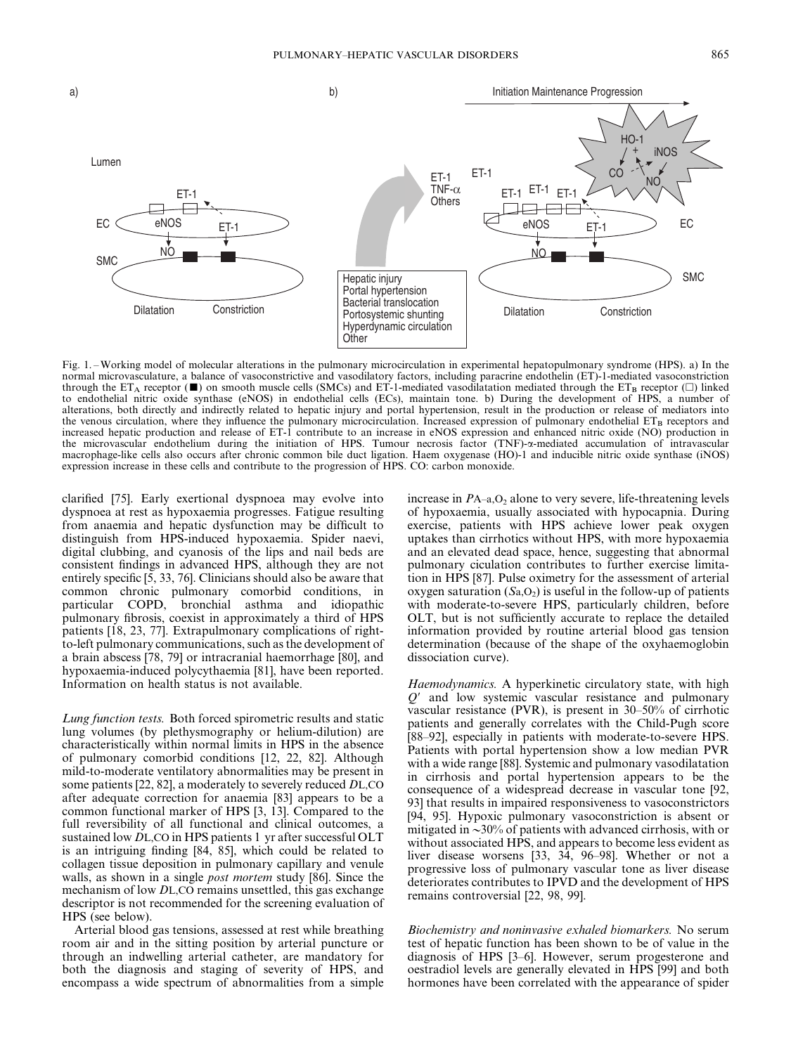

Fig. 1. – Working model of molecular alterations in the pulmonary microcirculation in experimental hepatopulmonary syndrome (HPS). a) In the normal microvasculature, a balance of vasoconstrictive and vasodilatory factors, including paracrine endothelin (ET)-1-mediated vasoconstriction through the ET<sub>A</sub> receptor ( $\blacksquare$ ) on smooth muscle cells (SMCs) and ET-1-mediated vasodilatation mediated through the ET<sub>B</sub> receptor ( $\Box$ ) linked to endothelial nitric oxide synthase (eNOS) in endothelial cells (ECs), maintain tone. b) During the development of HPS, a number of alterations, both directly and indirectly related to hepatic injury and portal hypertension, result in the production or release of mediators into the venous circulation, where they influence the pulmonary microcirculation. Increased expression of pulmonary endothelial  $ET_B$  receptors and increased hepatic production and release of ET-1 contribute to an increase in eNOS expression and enhanced nitric oxide (NO) production in the microvascular endothelium during the initiation of HPS. Tumour necrosis factor (TNF)-a-mediated accumulation of intravascular macrophage-like cells also occurs after chronic common bile duct ligation. Haem oxygenase (HO)-1 and inducible nitric oxide synthase (iNOS) expression increase in these cells and contribute to the progression of HPS. CO: carbon monoxide.

clarified [75]. Early exertional dyspnoea may evolve into dyspnoea at rest as hypoxaemia progresses. Fatigue resulting from anaemia and hepatic dysfunction may be difficult to distinguish from HPS-induced hypoxaemia. Spider naevi, digital clubbing, and cyanosis of the lips and nail beds are consistent findings in advanced HPS, although they are not entirely specific [5, 33, 76]. Clinicians should also be aware that common chronic pulmonary comorbid conditions, in particular COPD, bronchial asthma and idiopathic pulmonary fibrosis, coexist in approximately a third of HPS patients [18, 23, 77]. Extrapulmonary complications of rightto-left pulmonary communications, such as the development of a brain abscess [78, 79] or intracranial haemorrhage [80], and hypoxaemia-induced polycythaemia [81], have been reported. Information on health status is not available.

Lung function tests. Both forced spirometric results and static lung volumes (by plethysmography or helium-dilution) are characteristically within normal limits in HPS in the absence of pulmonary comorbid conditions [12, 22, 82]. Although mild-to-moderate ventilatory abnormalities may be present in some patients [22, 82], a moderately to severely reduced DL,CO after adequate correction for anaemia [83] appears to be a common functional marker of HPS [3, 13]. Compared to the full reversibility of all functional and clinical outcomes, a sustained low DL,CO in HPS patients 1 yr after successful OLT is an intriguing finding [84, 85], which could be related to collagen tissue deposition in pulmonary capillary and venule walls, as shown in a single *post mortem* study [86]. Since the mechanism of low DL,CO remains unsettled, this gas exchange descriptor is not recommended for the screening evaluation of HPS (see below).

Arterial blood gas tensions, assessed at rest while breathing room air and in the sitting position by arterial puncture or through an indwelling arterial catheter, are mandatory for both the diagnosis and staging of severity of HPS, and encompass a wide spectrum of abnormalities from a simple

increase in  $PA$ –a, $O_2$  alone to very severe, life-threatening levels of hypoxaemia, usually associated with hypocapnia. During exercise, patients with HPS achieve lower peak oxygen uptakes than cirrhotics without HPS, with more hypoxaemia and an elevated dead space, hence, suggesting that abnormal pulmonary ciculation contributes to further exercise limitation in HPS [87]. Pulse oximetry for the assessment of arterial oxygen saturation  $(Sa, O<sub>2</sub>)$  is useful in the follow-up of patients with moderate-to-severe HPS, particularly children, before OLT, but is not sufficiently accurate to replace the detailed information provided by routine arterial blood gas tension determination (because of the shape of the oxyhaemoglobin dissociation curve).

Haemodynamics. A hyperkinetic circulatory state, with high  $Q'$  and low systemic vascular resistance and pulmonary vascular resistance (PVR), is present in 30–50% of cirrhotic patients and generally correlates with the Child-Pugh score [88–92], especially in patients with moderate-to-severe HPS. Patients with portal hypertension show a low median PVR with a wide range [88]. Systemic and pulmonary vasodilatation in cirrhosis and portal hypertension appears to be the consequence of a widespread decrease in vascular tone [92, 93] that results in impaired responsiveness to vasoconstrictors [94, 95]. Hypoxic pulmonary vasoconstriction is absent or mitigated in  $\sim$ 30% of patients with advanced cirrhosis, with or without associated HPS, and appears to become less evident as liver disease worsens [33, 34, 96–98]. Whether or not a progressive loss of pulmonary vascular tone as liver disease deteriorates contributes to IPVD and the development of HPS remains controversial [22, 98, 99].

Biochemistry and noninvasive exhaled biomarkers. No serum test of hepatic function has been shown to be of value in the diagnosis of HPS [3–6]. However, serum progesterone and oestradiol levels are generally elevated in HPS [99] and both hormones have been correlated with the appearance of spider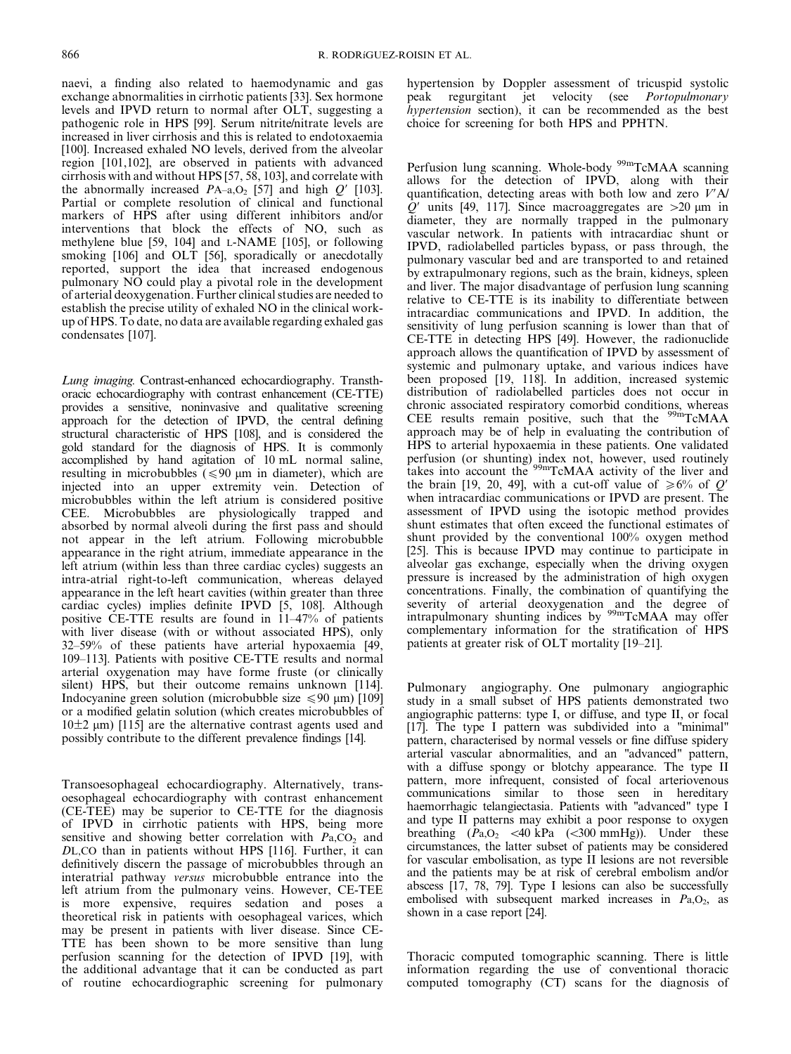naevi, a finding also related to haemodynamic and gas exchange abnormalities in cirrhotic patients [33]. Sex hormone levels and IPVD return to normal after OLT, suggesting a pathogenic role in HPS [99]. Serum nitrite/nitrate levels are increased in liver cirrhosis and this is related to endotoxaemia [100]. Increased exhaled NO levels, derived from the alveolar region [101,102], are observed in patients with advanced cirrhosis with and without HPS [57, 58, 103], and correlate with the abnormally increased  $PA$ –a, $O_2$  [57] and high  $Q'$  [103]. Partial or complete resolution of clinical and functional markers of HPS after using different inhibitors and/or interventions that block the effects of NO, such as methylene blue [59, 104] and L-NAME [105], or following smoking [106] and OLT [56], sporadically or anecdotally reported, support the idea that increased endogenous pulmonary NO could play a pivotal role in the development of arterial deoxygenation. Further clinical studies are needed to establish the precise utility of exhaled NO in the clinical workup of HPS. To date, no data are available regarding exhaled gas condensates [107].

Lung imaging. Contrast-enhanced echocardiography. Transthoracic echocardiography with contrast enhancement (CE-TTE) provides a sensitive, noninvasive and qualitative screening approach for the detection of IPVD, the central defining structural characteristic of HPS [108], and is considered the gold standard for the diagnosis of HPS. It is commonly accomplished by hand agitation of 10 mL normal saline, resulting in microbubbles  $\leq 90 \text{ µm}$  in diameter), which are injected into an upper extremity vein. Detection of microbubbles within the left atrium is considered positive CEE. Microbubbles are physiologically trapped and absorbed by normal alveoli during the first pass and should not appear in the left atrium. Following microbubble appearance in the right atrium, immediate appearance in the left atrium (within less than three cardiac cycles) suggests an intra-atrial right-to-left communication, whereas delayed appearance in the left heart cavities (within greater than three cardiac cycles) implies definite IPVD [5, 108]. Although positive CE-TTE results are found in 11–47% of patients with liver disease (with or without associated HPS), only 32–59% of these patients have arterial hypoxaemia [49, 109–113]. Patients with positive CE-TTE results and normal arterial oxygenation may have forme fruste (or clinically silent) HPS, but their outcome remains unknown [114]. Indocyanine green solution (microbubble size  $\leq 90$  µm) [109] or a modified gelatin solution (which creates microbubbles of  $10±2 \mu m$ ) [115] are the alternative contrast agents used and possibly contribute to the different prevalence findings [14].

Transoesophageal echocardiography. Alternatively, transoesophageal echocardiography with contrast enhancement (CE-TEE) may be superior to CE-TTE for the diagnosis of IPVD in cirrhotic patients with HPS, being more sensitive and showing better correlation with  $Pa, CO<sub>2</sub>$  and DL,CO than in patients without HPS [116]. Further, it can definitively discern the passage of microbubbles through an interatrial pathway versus microbubble entrance into the left atrium from the pulmonary veins. However, CE-TEE is more expensive, requires sedation and poses a theoretical risk in patients with oesophageal varices, which may be present in patients with liver disease. Since CE-TTE has been shown to be more sensitive than lung perfusion scanning for the detection of IPVD [19], with the additional advantage that it can be conducted as part of routine echocardiographic screening for pulmonary hypertension by Doppler assessment of tricuspid systolic peak regurgitant jet velocity (see Portopulmonary hypertension section), it can be recommended as the best choice for screening for both HPS and PPHTN.

Perfusion lung scanning. Whole-body <sup>99m</sup>TcMAA scanning allows for the detection of IPVD, along with their quantification, detecting areas with both low and zero  $V'$ A/  $\hat{Q}$ <sup>'</sup> units [49, 117]. Since macroaggregates are  $>20$  µm in diameter, they are normally trapped in the pulmonary vascular network. In patients with intracardiac shunt or IPVD, radiolabelled particles bypass, or pass through, the pulmonary vascular bed and are transported to and retained by extrapulmonary regions, such as the brain, kidneys, spleen and liver. The major disadvantage of perfusion lung scanning relative to CE-TTE is its inability to differentiate between intracardiac communications and IPVD. In addition, the sensitivity of lung perfusion scanning is lower than that of CE-TTE in detecting HPS [49]. However, the radionuclide approach allows the quantification of IPVD by assessment of systemic and pulmonary uptake, and various indices have been proposed [19, 118]. In addition, increased systemic distribution of radiolabelled particles does not occur in chronic associated respiratory comorbid conditions, whereas CEE results remain positive, such that the 99mTcMAA approach may be of help in evaluating the contribution of HPS to arterial hypoxaemia in these patients. One validated perfusion (or shunting) index not, however, used routinely takes into account the <sup>99m</sup>TcMAA activity of the liver and the brain [19, 20, 49], with a cut-off value of  $\geq 6\%$  of Q' when intracardiac communications or IPVD are present. The assessment of IPVD using the isotopic method provides shunt estimates that often exceed the functional estimates of shunt provided by the conventional 100% oxygen method [25]. This is because IPVD may continue to participate in alveolar gas exchange, especially when the driving oxygen pressure is increased by the administration of high oxygen concentrations. Finally, the combination of quantifying the severity of arterial deoxygenation and the degree of intrapulmonary shunting indices by <sup>99m</sup>TcMAA may offer complementary information for the stratification of HPS patients at greater risk of OLT mortality [19–21].

Pulmonary angiography. One pulmonary angiographic study in a small subset of HPS patients demonstrated two angiographic patterns: type I, or diffuse, and type II, or focal [17]. The type I pattern was subdivided into a "minimal" pattern, characterised by normal vessels or fine diffuse spidery arterial vascular abnormalities, and an "advanced" pattern, with a diffuse spongy or blotchy appearance. The type II pattern, more infrequent, consisted of focal arteriovenous communications similar to those seen in hereditary haemorrhagic telangiectasia. Patients with "advanced" type I and type II patterns may exhibit a poor response to oxygen breathing  $(\dot{P}_{a,O_2}$  <40 kPa (<300 mmHg)). Under these circumstances, the latter subset of patients may be considered for vascular embolisation, as type II lesions are not reversible and the patients may be at risk of cerebral embolism and/or abscess [17, 78, 79]. Type I lesions can also be successfully embolised with subsequent marked increases in  $Pa, O<sub>2</sub>$ , as shown in a case report [24].

Thoracic computed tomographic scanning. There is little information regarding the use of conventional thoracic computed tomography (CT) scans for the diagnosis of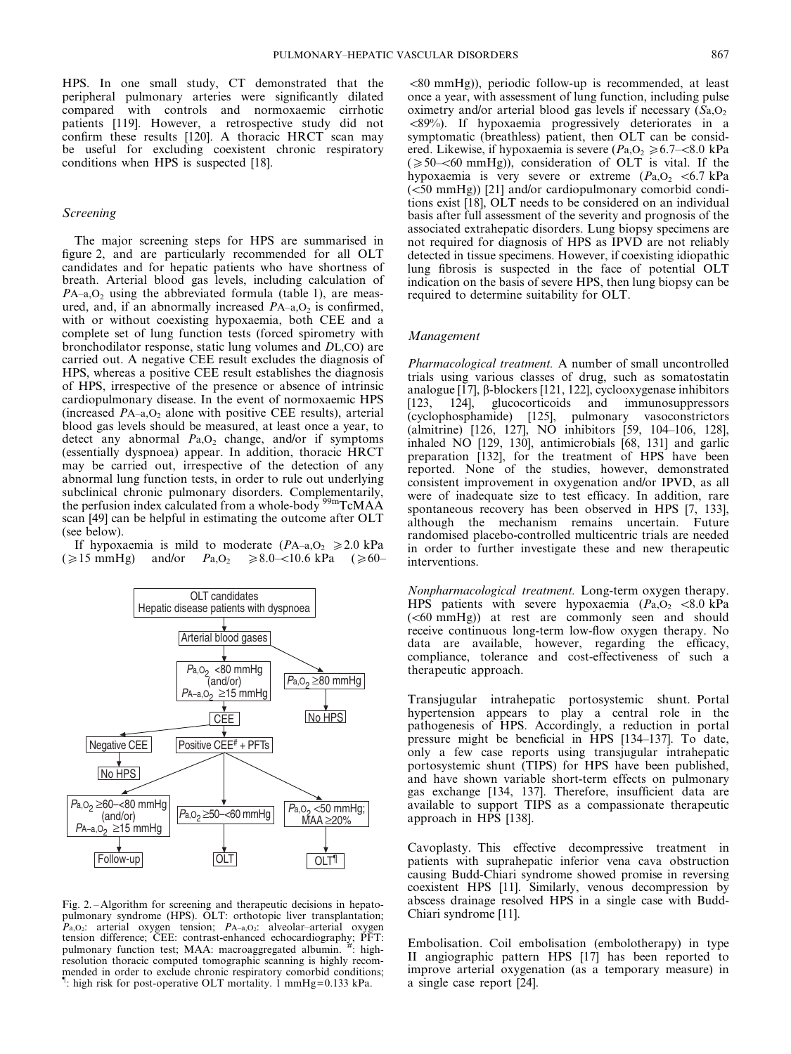HPS. In one small study, CT demonstrated that the peripheral pulmonary arteries were significantly dilated compared with controls and normoxaemic cirrhotic patients [119]. However, a retrospective study did not confirm these results [120]. A thoracic HRCT scan may be useful for excluding coexistent chronic respiratory conditions when HPS is suspected [18].

#### Screening

The major screening steps for HPS are summarised in figure 2, and are particularly recommended for all OLT candidates and for hepatic patients who have shortness of breath. Arterial blood gas levels, including calculation of  $PA$ –a, $O<sub>2</sub>$  using the abbreviated formula (table 1), are measured, and, if an abnormally increased  $PA$ –a, $O<sub>2</sub>$  is confirmed, with or without coexisting hypoxaemia, both CEE and a complete set of lung function tests (forced spirometry with bronchodilator response, static lung volumes and DL,CO) are carried out. A negative CEE result excludes the diagnosis of HPS, whereas a positive CEE result establishes the diagnosis of HPS, irrespective of the presence or absence of intrinsic cardiopulmonary disease. In the event of normoxaemic HPS (increased  $PA$ –a, $O<sub>2</sub>$  alone with positive CEE results), arterial blood gas levels should be measured, at least once a year, to detect any abnormal  $Pa, O_2$  change, and/or if symptoms (essentially dyspnoea) appear. In addition, thoracic HRCT may be carried out, irrespective of the detection of any abnormal lung function tests, in order to rule out underlying subclinical chronic pulmonary disorders. Complementarily, the perfusion index calculated from a whole-body <sup>99m</sup>TcMAA the perfusion index calculated from a whole-body  $\frac{9}{2}$ scan [49] can be helpful in estimating the outcome after OLT (see below).

If hypoxaemia is mild to moderate  $(PA_{-a}, O_2 \ge 2.0 \text{ kPa})$  $(\geq 15 \text{ mmHg})$  and/or  $P_{a, O_2} \geq 8.0$ -<10.6 kPa ( $\geq 60$ -



Fig. 2. – Algorithm for screening and therapeutic decisions in hepatopulmonary syndrome (HPS). OLT: orthotopic liver transplantation;  $P_{a,0_2}$ : arterial oxygen tension;  $P_{A-a,0_2}$ : alveolar–arterial oxygen tension difference; CEE: contrast-enhanced echocardiography; PFT: pulmonary function test; MAA: macroaggregated albumin. <sup>#</sup>: highresolution thoracic computed tomographic scanning is highly recommended in order to exclude chronic respiratory comorbid conditions;<br> $\frac{1}{2}$  bigh risk for nost operative OLT mortality,  $\frac{1}{2}$  mmHg-0.133 kPa : high risk for post-operative OLT mortality. 1 mmHg=0.133 kPa.

 $\langle 80 \text{ mmHg} \rangle$ , periodic follow-up is recommended, at least once a year, with assessment of lung function, including pulse oximetry and/or arterial blood gas levels if necessary  $(S_{a},O_{2})$  $\langle 89\% \rangle$ . If hypoxaemia progressively deteriorates in a symptomatic (breathless) patient, then OLT can be considered. Likewise, if hypoxaemia is severe ( $Pa, O_2 \ge 6.7 \le 8.0$  kPa  $(\geq 50$ – $\lt 60$  mmHg)), consideration of OLT is vital. If the hypoxaemia is very severe or extreme  $(P_{a,0_2} < 6.7 \text{ kPa})$  $(<50$  mmHg)) [21] and/or cardiopulmonary comorbid conditions exist [18], OLT needs to be considered on an individual basis after full assessment of the severity and prognosis of the associated extrahepatic disorders. Lung biopsy specimens are not required for diagnosis of HPS as IPVD are not reliably detected in tissue specimens. However, if coexisting idiopathic lung fibrosis is suspected in the face of potential OLT indication on the basis of severe HPS, then lung biopsy can be required to determine suitability for OLT.

#### Management

Pharmacological treatment. A number of small uncontrolled trials using various classes of drug, such as somatostatin analogue  $[17]$ ,  $\beta$ -blockers  $[121, 122]$ , cyclooxygenase inhibitors [123, 124], glucocorticoids and immunosuppressors (cyclophosphamide) [125], pulmonary vasoconstrictors (almitrine) [126, 127], NO inhibitors [59, 104–106, 128], inhaled NO [129, 130], antimicrobials [68, 131] and garlic preparation [132], for the treatment of HPS have been reported. None of the studies, however, demonstrated consistent improvement in oxygenation and/or IPVD, as all were of inadequate size to test efficacy. In addition, rare spontaneous recovery has been observed in HPS [7, 133], although the mechanism remains uncertain. Future randomised placebo-controlled multicentric trials are needed in order to further investigate these and new therapeutic interventions.

Nonpharmacological treatment. Long-term oxygen therapy. HPS patients with severe hypoxaemia  $(Pa, O_2 \le 8.0 \text{ kPa})$  $( $60 \text{ mmHg}$ )$  at rest are commonly seen and should receive continuous long-term low-flow oxygen therapy. No data are available, however, regarding the efficacy, compliance, tolerance and cost-effectiveness of such a therapeutic approach.

Transjugular intrahepatic portosystemic shunt. Portal hypertension appears to play a central role in the pathogenesis of HPS. Accordingly, a reduction in portal pressure might be beneficial in HPS [134–137]. To date, only a few case reports using transjugular intrahepatic portosystemic shunt (TIPS) for HPS have been published, and have shown variable short-term effects on pulmonary gas exchange [134, 137]. Therefore, insufficient data are available to support TIPS as a compassionate therapeutic approach in HPS [138].

Cavoplasty. This effective decompressive treatment in patients with suprahepatic inferior vena cava obstruction causing Budd-Chiari syndrome showed promise in reversing coexistent HPS [11]. Similarly, venous decompression by abscess drainage resolved HPS in a single case with Budd-Chiari syndrome [11].

Embolisation. Coil embolisation (embolotherapy) in type II angiographic pattern HPS [17] has been reported to improve arterial oxygenation (as a temporary measure) in a single case report [24].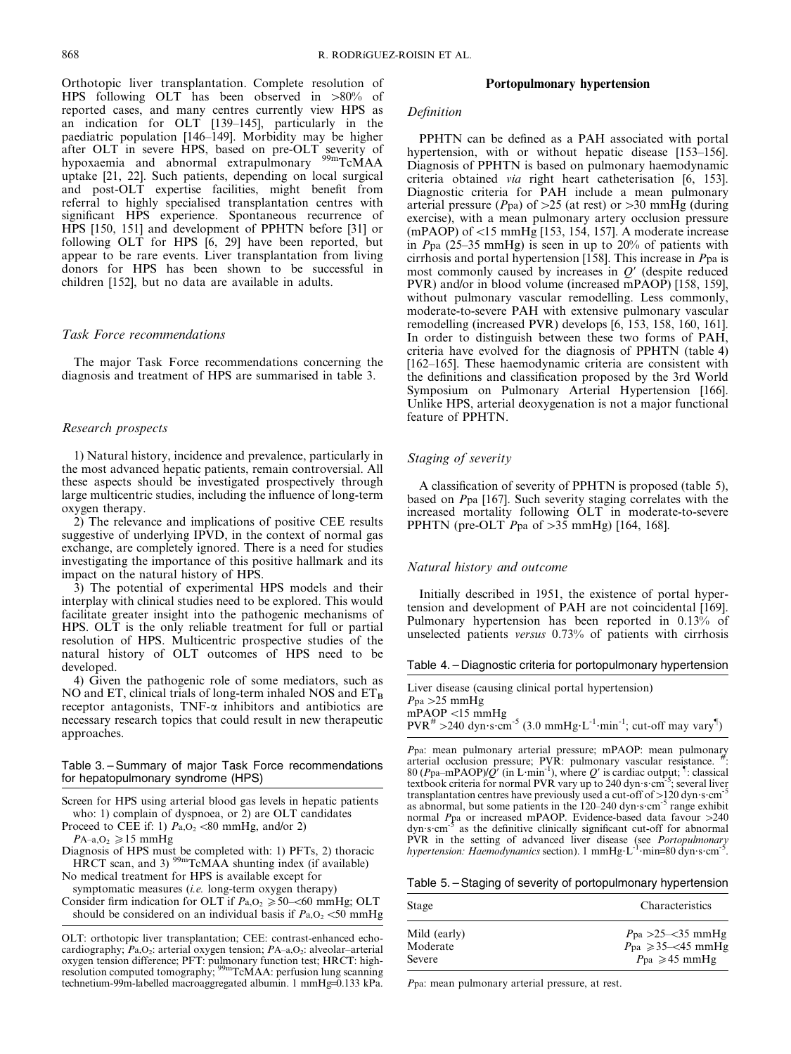Orthotopic liver transplantation. Complete resolution of HPS following OLT has been observed in  $>80\%$  of reported cases, and many centres currently view HPS as an indication for OLT [139–145], particularly in the paediatric population [146–149]. Morbidity may be higher after OLT in severe HPS, based on pre-OLT severity of<br>hypoxaemia and abnormal extrapulmonary <sup>99m</sup>TcMAA uptake [21, 22]. Such patients, depending on local surgical and post-OLT expertise facilities, might benefit from referral to highly specialised transplantation centres with significant HPS experience. Spontaneous recurrence of HPS [150, 151] and development of PPHTN before [31] or following OLT for HPS [6, 29] have been reported, but appear to be rare events. Liver transplantation from living donors for HPS has been shown to be successful in children [152], but no data are available in adults.

#### Task Force recommendations

The major Task Force recommendations concerning the diagnosis and treatment of HPS are summarised in table 3.

#### Research prospects

1) Natural history, incidence and prevalence, particularly in the most advanced hepatic patients, remain controversial. All these aspects should be investigated prospectively through large multicentric studies, including the influence of long-term oxygen therapy.

2) The relevance and implications of positive CEE results suggestive of underlying IPVD, in the context of normal gas exchange, are completely ignored. There is a need for studies investigating the importance of this positive hallmark and its impact on the natural history of HPS.

3) The potential of experimental HPS models and their interplay with clinical studies need to be explored. This would facilitate greater insight into the pathogenic mechanisms of HPS. OLT is the only reliable treatment for full or partial resolution of HPS. Multicentric prospective studies of the natural history of OLT outcomes of HPS need to be developed.

4) Given the pathogenic role of some mediators, such as NO and ET, clinical trials of long-term inhaled NOS and  $ET_B$ receptor antagonists,  $TNF-\alpha$  inhibitors and antibiotics are necessary research topics that could result in new therapeutic approaches.

#### Table 3. – Summary of major Task Force recommendations for hepatopulmonary syndrome (HPS)

- Screen for HPS using arterial blood gas levels in hepatic patients who: 1) complain of dyspnoea, or 2) are OLT candidates
- Proceed to CEE if: 1)  $Pa, O<sub>2</sub> < 80$  mmHg, and/or 2)

 $PA$ –a,O<sub>2</sub>  $\geq 15$  mmHg

Diagnosis of HPS must be completed with: 1) PFTs, 2) thoracic  $HRT$  scan, and 3)  $^{99m}TcMAA$  shunting index (if available) No medical treatment for HPS is available except for

symptomatic measures  $(i.e.$  long-term oxygen therapy)

Consider firm indication for OLT if  $Pa, O_2 \ge 50$ – $\le 60$  mmHg; OLT should be considered on an individual basis if  $P_{a,0,0}$  <50 mmHg

#### Portopulmonary hypertension

#### Definition

PPHTN can be defined as a PAH associated with portal hypertension, with or without hepatic disease [153-156]. Diagnosis of PPHTN is based on pulmonary haemodynamic criteria obtained via right heart catheterisation [6, 153]. Diagnostic criteria for PAH include a mean pulmonary arterial pressure ( $P$ pa) of >25 (at rest) or >30 mmHg (during exercise), with a mean pulmonary artery occlusion pressure (mPAOP) of  $<$ 15 mmHg [153, 154, 157]. A moderate increase in Ppa (25–35 mmHg) is seen in up to 20% of patients with cirrhosis and portal hypertension [158]. This increase in Ppa is most commonly caused by increases in  $Q'$  (despite reduced PVR) and/or in blood volume (increased mPAOP) [158, 159], without pulmonary vascular remodelling. Less commonly, moderate-to-severe PAH with extensive pulmonary vascular remodelling (increased PVR) develops [6, 153, 158, 160, 161]. In order to distinguish between these two forms of PAH, criteria have evolved for the diagnosis of PPHTN (table 4) [162–165]. These haemodynamic criteria are consistent with the definitions and classification proposed by the 3rd World Symposium on Pulmonary Arterial Hypertension [166]. Unlike HPS, arterial deoxygenation is not a major functional feature of PPHTN.

#### Staging of severity

A classification of severity of PPHTN is proposed (table 5), based on Ppa [167]. Such severity staging correlates with the increased mortality following OLT in moderate-to-severe PPHTN (pre-OLT  $P$ pa of >35 mmHg) [164, 168].

#### Natural history and outcome

Initially described in 1951, the existence of portal hypertension and development of PAH are not coincidental [169]. Pulmonary hypertension has been reported in 0.13% of unselected patients versus 0.73% of patients with cirrhosis

Table 4. – Diagnostic criteria for portopulmonary hypertension

| Liver disease (causing clinical portal hypertension)                                                                   |
|------------------------------------------------------------------------------------------------------------------------|
| $P_{\text{pa}} > 25$ mmHg                                                                                              |
| $mPAOP < 15$ mmHg                                                                                                      |
| $PVR^{\#} > 240$ dyn s cm <sup>-5</sup> (3.0 mmHg·L <sup>-1</sup> ·min <sup>-1</sup> ; cut-off may vary <sup>1</sup> ) |

Ppa: mean pulmonary arterial pressure; mPAOP: mean pulmonary arterial occlusion pressure; PVR: pulmonary vascular resistance. 80 (Ppa–mPAOP)/Q' (in L·min<sup>-1</sup>), where Q' is cardiac output; <sup>1</sup>: classical textbook criteria for normal PVR vary up to 240 dyn s cm<sup>-5</sup>; several liver transplantation centres have previously used a cut-off of  $>120$  dyn $\cdot$ s $\cdot$ cm<sup>-5</sup> as abnormal, but some patients in the  $120-240 \text{ dyn} \cdot \text{s} \cdot \text{cm}^{-5}$  range exhibit normal  $P_{\text{pa}}$  or increased mPAOP. Evidence-based data favour >240 dyn s cm<sup>-5</sup> as the definitive clinically significant cut-off for abnormal  $\delta$  as the definitive clinically significant cut-off for abnormal PVR in the setting of advanced liver disease (see *Portopulmonary hypertension: Haemodynamics* section). 1 mmHg·L<sup>-1</sup>·min=80 dyn·s·cm<sup>-5</sup>.

Table 5. – Staging of severity of portopulmonary hypertension

| Characteristics                                                                                                        |  |
|------------------------------------------------------------------------------------------------------------------------|--|
| $P_{\text{pa}} > 25 - 35 \text{ mmHg}$<br>$P_{\text{pa}} \geq 35 \leq 45$ mmHg<br>$P_{\text{pa}} \geq 45 \text{ mmHg}$ |  |
|                                                                                                                        |  |

Ppa: mean pulmonary arterial pressure, at rest.

OLT: orthotopic liver transplantation; CEE: contrast-enhanced echocardiography;  $Pa, O_2$ : arterial oxygen tension;  $PA$ –a, $O_2$ : alveolar–arterial oxygen tension difference; PFT: pulmonary function test; HRCT: high-<br>resolution computed tomography; <sup>99m</sup>TcMAA: perfusion lung scanning technetium-99m-labelled macroaggregated albumin. 1 mmHg=0.133 kPa.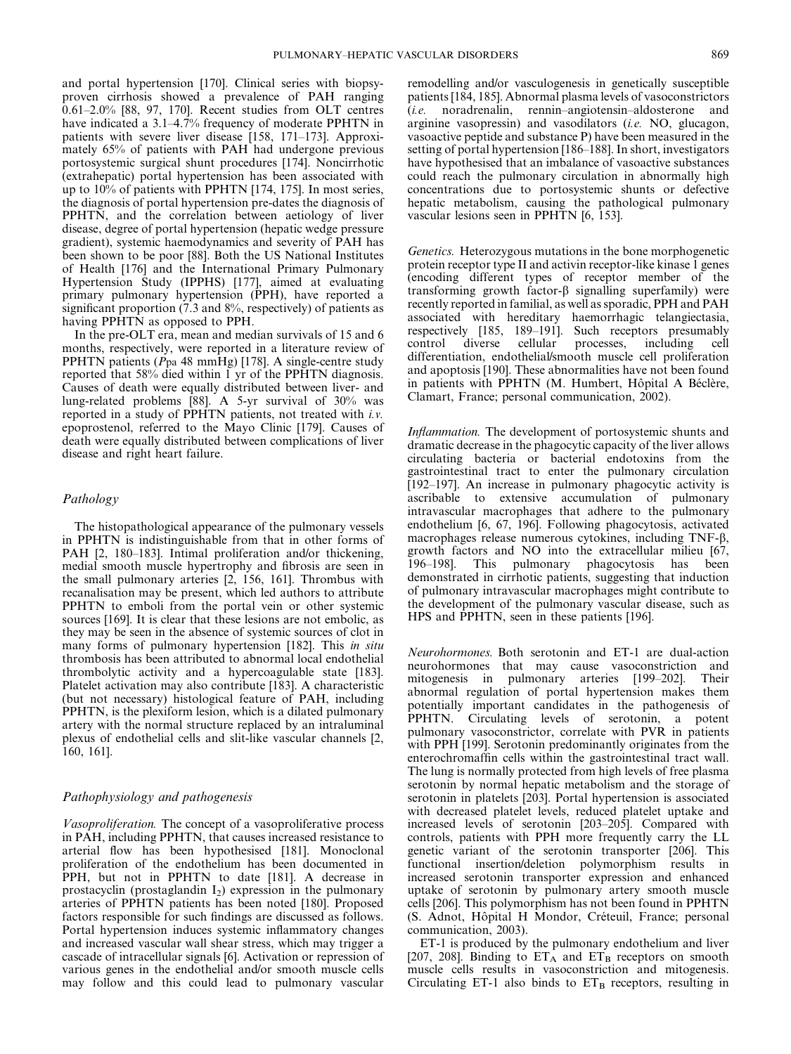and portal hypertension [170]. Clinical series with biopsyproven cirrhosis showed a prevalence of PAH ranging 0.61–2.0% [88, 97, 170]. Recent studies from OLT centres have indicated a 3.1–4.7% frequency of moderate PPHTN in patients with severe liver disease [158, 171–173]. Approximately 65% of patients with PAH had undergone previous portosystemic surgical shunt procedures [174]. Noncirrhotic (extrahepatic) portal hypertension has been associated with up to 10% of patients with PPHTN [174, 175]. In most series, the diagnosis of portal hypertension pre-dates the diagnosis of PPHTN, and the correlation between aetiology of liver disease, degree of portal hypertension (hepatic wedge pressure gradient), systemic haemodynamics and severity of PAH has been shown to be poor [88]. Both the US National Institutes of Health [176] and the International Primary Pulmonary Hypertension Study (IPPHS) [177], aimed at evaluating primary pulmonary hypertension (PPH), have reported a significant proportion  $(7.3 \text{ and } 8\%$ , respectively) of patients as having PPHTN as opposed to PPH.

In the pre-OLT era, mean and median survivals of 15 and 6 months, respectively, were reported in a literature review of PPHTN patients  $(Ppa 48 mmHg)$  [178]. A single-centre study reported that 58% died within 1 yr of the PPHTN diagnosis. Causes of death were equally distributed between liver- and lung-related problems [88]. A 5-yr survival of 30% was reported in a study of PPHTN patients, not treated with i.v. epoprostenol, referred to the Mayo Clinic [179]. Causes of death were equally distributed between complications of liver disease and right heart failure.

#### Pathology

The histopathological appearance of the pulmonary vessels in PPHTN is indistinguishable from that in other forms of PAH [2, 180–183]. Intimal proliferation and/or thickening, medial smooth muscle hypertrophy and fibrosis are seen in the small pulmonary arteries [2, 156, 161]. Thrombus with recanalisation may be present, which led authors to attribute PPHTN to emboli from the portal vein or other systemic sources [169]. It is clear that these lesions are not embolic, as they may be seen in the absence of systemic sources of clot in many forms of pulmonary hypertension [182]. This *in situ* thrombosis has been attributed to abnormal local endothelial thrombolytic activity and a hypercoagulable state [183]. Platelet activation may also contribute [183]. A characteristic (but not necessary) histological feature of PAH, including PPHTN, is the plexiform lesion, which is a dilated pulmonary artery with the normal structure replaced by an intraluminal plexus of endothelial cells and slit-like vascular channels [2, 160, 161].

#### Pathophysiology and pathogenesis

Vasoproliferation. The concept of a vasoproliferative process in PAH, including PPHTN, that causes increased resistance to arterial flow has been hypothesised [181]. Monoclonal proliferation of the endothelium has been documented in PPH, but not in PPHTN to date [181]. A decrease in prostacyclin (prostaglandin  $I_2$ ) expression in the pulmonary arteries of PPHTN patients has been noted [180]. Proposed factors responsible for such findings are discussed as follows. Portal hypertension induces systemic inflammatory changes and increased vascular wall shear stress, which may trigger a cascade of intracellular signals [6]. Activation or repression of various genes in the endothelial and/or smooth muscle cells may follow and this could lead to pulmonary vascular remodelling and/or vasculogenesis in genetically susceptible patients [184, 185]. Abnormal plasma levels of vasoconstrictors (i.e. noradrenalin, rennin–angiotensin–aldosterone and arginine vasopressin) and vasodilators (i.e. NO, glucagon, vasoactive peptide and substance P) have been measured in the setting of portal hypertension [186–188]. In short, investigators have hypothesised that an imbalance of vasoactive substances could reach the pulmonary circulation in abnormally high concentrations due to portosystemic shunts or defective hepatic metabolism, causing the pathological pulmonary vascular lesions seen in PPHTN [6, 153].

Genetics. Heterozygous mutations in the bone morphogenetic protein receptor type II and activin receptor-like kinase 1 genes (encoding different types of receptor member of the transforming growth factor- $\beta$  signalling superfamily) were recently reported in familial, as well as sporadic, PPH and PAH associated with hereditary haemorrhagic telangiectasia, respectively [185, 189–191]. Such receptors presumably control diverse cellular processes, including cell differentiation, endothelial/smooth muscle cell proliferation and apoptosis [190]. These abnormalities have not been found in patients with PPHTN (M. Humbert, Hôpital A Béclère, Clamart, France; personal communication, 2002).

Inflammation. The development of portosystemic shunts and dramatic decrease in the phagocytic capacity of the liver allows circulating bacteria or bacterial endotoxins from the gastrointestinal tract to enter the pulmonary circulation [192–197]. An increase in pulmonary phagocytic activity is ascribable to extensive accumulation of pulmonary intravascular macrophages that adhere to the pulmonary endothelium [6, 67, 196]. Following phagocytosis, activated macrophages release numerous cytokines, including TNF-b, growth factors and NO into the extracellular milieu [67, 196–198]. This pulmonary phagocytosis has been demonstrated in cirrhotic patients, suggesting that induction of pulmonary intravascular macrophages might contribute to the development of the pulmonary vascular disease, such as HPS and PPHTN, seen in these patients [196].

Neurohormones. Both serotonin and ET-1 are dual-action neurohormones that may cause vasoconstriction and mitogenesis in pulmonary arteries [199–202]. Their abnormal regulation of portal hypertension makes them potentially important candidates in the pathogenesis of PPHTN. Circulating levels of serotonin, a potent pulmonary vasoconstrictor, correlate with PVR in patients with PPH [199]. Serotonin predominantly originates from the enterochromaffin cells within the gastrointestinal tract wall. The lung is normally protected from high levels of free plasma serotonin by normal hepatic metabolism and the storage of serotonin in platelets [203]. Portal hypertension is associated with decreased platelet levels, reduced platelet uptake and increased levels of serotonin [203–205]. Compared with controls, patients with PPH more frequently carry the LL genetic variant of the serotonin transporter [206]. This functional insertion/deletion polymorphism results in increased serotonin transporter expression and enhanced uptake of serotonin by pulmonary artery smooth muscle cells [206]. This polymorphism has not been found in PPHTN (S. Adnot, Hôpital H Mondor, Créteuil, France; personal communication, 2003).

ET-1 is produced by the pulmonary endothelium and liver [207, 208]. Binding to  $ET_A$  and  $ET_B$  receptors on smooth muscle cells results in vasoconstriction and mitogenesis. Circulating ET-1 also binds to  $ET_B$  receptors, resulting in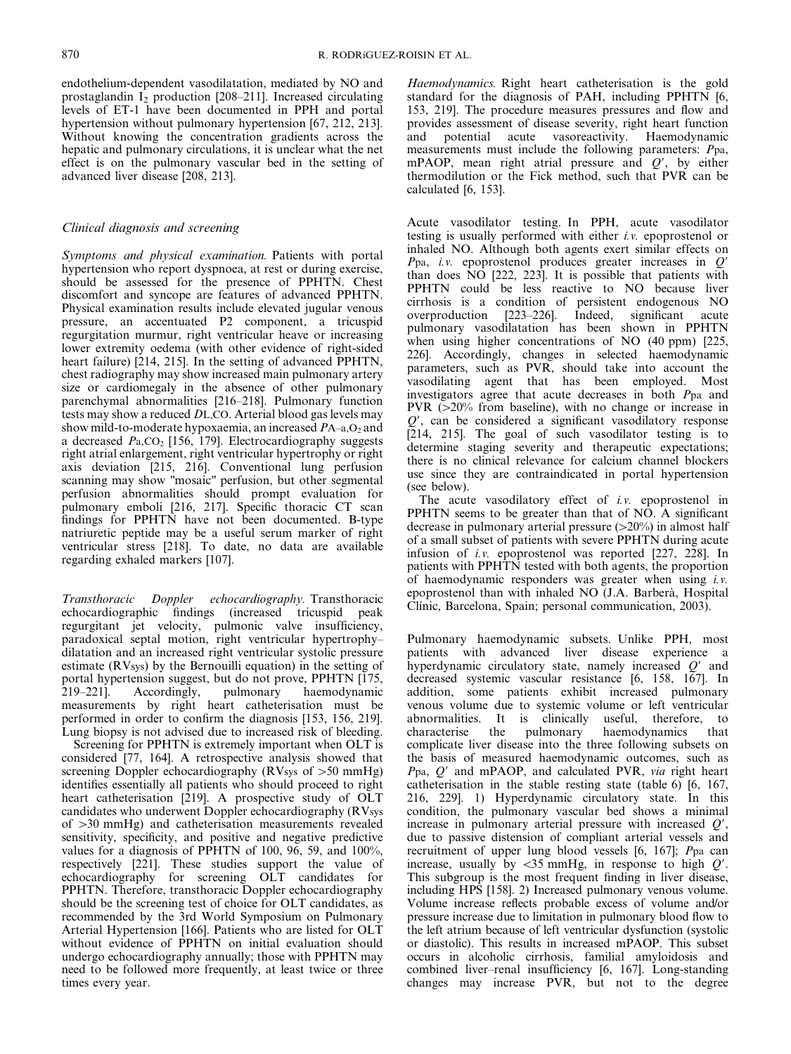endothelium-dependent vasodilatation, mediated by NO and prostaglandin  $\overline{I_2}$  production [208–211]. Increased circulating levels of ET-1 have been documented in PPH and portal hypertension without pulmonary hypertension [67, 212, 213]. Without knowing the concentration gradients across the hepatic and pulmonary circulations, it is unclear what the net effect is on the pulmonary vascular bed in the setting of advanced liver disease [208, 213].

#### Clinical diagnosis and screening

Symptoms and physical examination. Patients with portal hypertension who report dyspnoea, at rest or during exercise, should be assessed for the presence of PPHTN. Chest discomfort and syncope are features of advanced PPHTN. Physical examination results include elevated jugular venous pressure, an accentuated P2 component, a tricuspid regurgitation murmur, right ventricular heave or increasing lower extremity oedema (with other evidence of right-sided heart failure) [214, 215]. In the setting of advanced PPHTN, chest radiography may show increased main pulmonary artery size or cardiomegaly in the absence of other pulmonary parenchymal abnormalities [216–218]. Pulmonary function tests may show a reduced DL,CO. Arterial blood gas levels may show mild-to-moderate hypoxaemia, an increased  $PA$ –a, $O<sub>2</sub>$  and a decreased  $Pa, CO<sub>2</sub>$  [156, 179]. Electrocardiography suggests right atrial enlargement, right ventricular hypertrophy or right axis deviation [215, 216]. Conventional lung perfusion scanning may show "mosaic" perfusion, but other segmental perfusion abnormalities should prompt evaluation for pulmonary emboli [216, 217]. Specific thoracic CT scan findings for PPHTN have not been documented. B-type natriuretic peptide may be a useful serum marker of right ventricular stress [218]. To date, no data are available regarding exhaled markers [107].

Transthoracic Doppler echocardiography. Transthoracic echocardiographic findings (increased tricuspid peak regurgitant jet velocity, pulmonic valve insufficiency, paradoxical septal motion, right ventricular hypertrophy– dilatation and an increased right ventricular systolic pressure estimate (RVsys) by the Bernouilli equation) in the setting of portal hypertension suggest, but do not prove, PPHTN [175, 219–221]. Accordingly, pulmonary haemodynamic measurements by right heart catheterisation must be performed in order to confirm the diagnosis [153, 156, 219]. Lung biopsy is not advised due to increased risk of bleeding.

Screening for PPHTN is extremely important when OLT is considered [77, 164]. A retrospective analysis showed that screening Doppler echocardiography (RVsys of  $>50$  mmHg) identifies essentially all patients who should proceed to right heart catheterisation [219]. A prospective study of OLT candidates who underwent Doppler echocardiography (RVsys of  $>30$  mmHg) and catheterisation measurements revealed sensitivity, specificity, and positive and negative predictive values for a diagnosis of PPHTN of 100, 96, 59, and 100%, respectively [221]. These studies support the value of echocardiography for screening OLT candidates for PPHTN. Therefore, transthoracic Doppler echocardiography should be the screening test of choice for OLT candidates, as recommended by the 3rd World Symposium on Pulmonary Arterial Hypertension [166]. Patients who are listed for OLT without evidence of PPHTN on initial evaluation should undergo echocardiography annually; those with PPHTN may need to be followed more frequently, at least twice or three times every year.

Haemodynamics. Right heart catheterisation is the gold standard for the diagnosis of PAH, including PPHTN [6, 153, 219]. The procedure measures pressures and flow and provides assessment of disease severity, right heart function and potential acute vasoreactivity. Haemodynamic measurements must include the following parameters: Ppa, mPAOP, mean right atrial pressure and  $Q'$ , by either thermodilution or the Fick method, such that PVR can be calculated [6, 153].

Acute vasodilator testing. In PPH, acute vasodilator testing is usually performed with either i.v. epoprostenol or inhaled NO. Although both agents exert similar effects on Ppa, i.v. epoprostenol produces greater increases in  $Q'$ than does NO [222, 223]. It is possible that patients with PPHTN could be less reactive to NO because liver cirrhosis is a condition of persistent endogenous NO overproduction [223–226]. Indeed, significant acute pulmonary vasodilatation has been shown in PPHTN when using higher concentrations of NO (40 ppm) [225, 226]. Accordingly, changes in selected haemodynamic parameters, such as PVR, should take into account the vasodilating agent that has been employed. Most investigators agree that acute decreases in both Ppa and PVR  $(>=20\%$  from baseline), with no change or increase in  $Q'$ , can be considered a significant vasodilatory response [214, 215]. The goal of such vasodilator testing is to determine staging severity and therapeutic expectations; there is no clinical relevance for calcium channel blockers use since they are contraindicated in portal hypertension (see below).

The acute vasodilatory effect of *i.v.* epoprostenol in PPHTN seems to be greater than that of NO. A significant decrease in pulmonary arterial pressure  $(>=20\%)$  in almost half of a small subset of patients with severe PPHTN during acute infusion of i.v. epoprostenol was reported [227, 228]. In patients with PPHTN tested with both agents, the proportion of haemodynamic responders was greater when using i.v. epoprostenol than with inhaled NO (J.A. Barberà, Hospital Clínic, Barcelona, Spain; personal communication, 2003).

Pulmonary haemodynamic subsets. Unlike PPH, most patients with advanced liver disease experience a hyperdynamic circulatory state, namely increased  $Q'$  and decreased systemic vascular resistance [6, 158, 167]. In addition, some patients exhibit increased pulmonary venous volume due to systemic volume or left ventricular abnormalities. It is clinically useful, therefore, to characterise the pulmonary haemodynamics that complicate liver disease into the three following subsets on the basis of measured haemodynamic outcomes, such as  $P$ pa,  $Q'$  and mPAOP, and calculated PVR, via right heart catheterisation in the stable resting state (table 6) [6, 167, 216, 229]. 1) Hyperdynamic circulatory state. In this condition, the pulmonary vascular bed shows a minimal increase in pulmonary arterial pressure with increased  $Q'$ , due to passive distension of compliant arterial vessels and recruitment of upper lung blood vessels [6, 167]; Ppa can increase, usually by  $\langle 35 \text{ mmHg}$ , in response to high  $Q'$ . This subgroup is the most frequent finding in liver disease, including HPS [158]. 2) Increased pulmonary venous volume. Volume increase reflects probable excess of volume and/or pressure increase due to limitation in pulmonary blood flow to the left atrium because of left ventricular dysfunction (systolic or diastolic). This results in increased mPAOP. This subset occurs in alcoholic cirrhosis, familial amyloidosis and combined liver–renal insufficiency [6, 167]. Long-standing changes may increase PVR, but not to the degree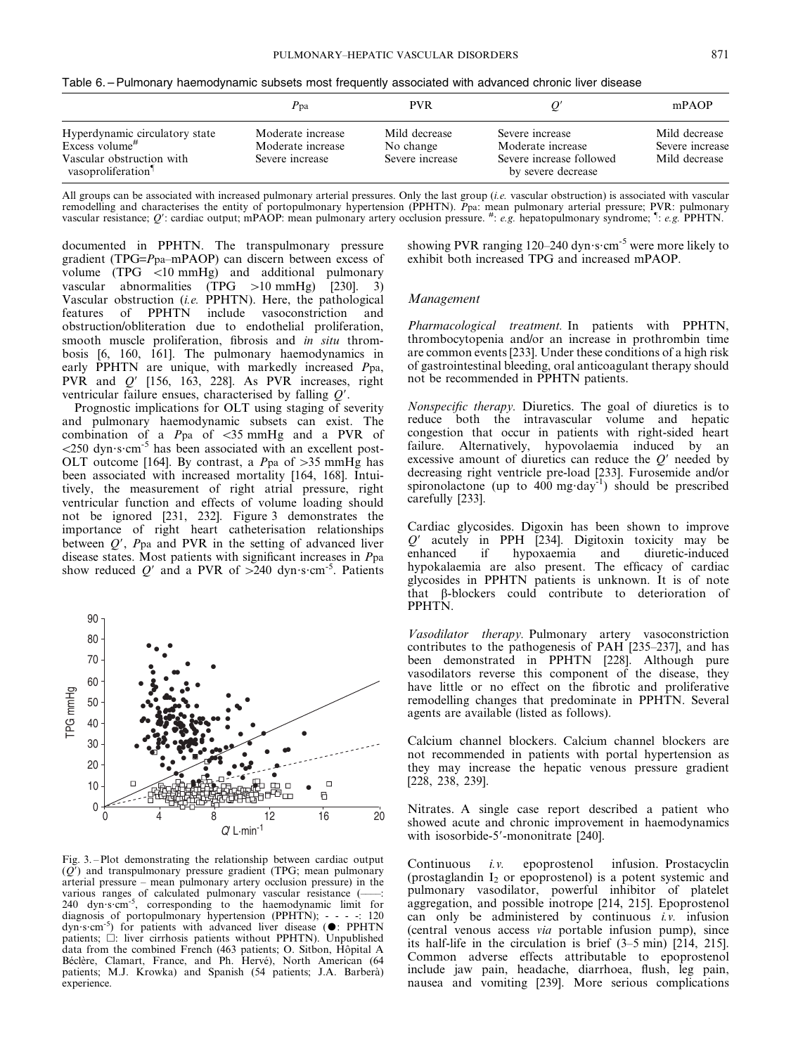Table 6. – Pulmonary haemodynamic subsets most frequently associated with advanced chronic liver disease

|                                                                                                                | Ppa                                                       | <b>PVR</b>                                    |                                                                                        | mPAOP                                             |
|----------------------------------------------------------------------------------------------------------------|-----------------------------------------------------------|-----------------------------------------------|----------------------------------------------------------------------------------------|---------------------------------------------------|
| Hyperdynamic circulatory state<br>Excess volume <sup>#</sup><br>Vascular obstruction with<br>vasoproliferation | Moderate increase<br>Moderate increase<br>Severe increase | Mild decrease<br>No change<br>Severe increase | Severe increase<br>Moderate increase<br>Severe increase followed<br>by severe decrease | Mild decrease<br>Severe increase<br>Mild decrease |

All groups can be associated with increased pulmonary arterial pressures. Only the last group (*i.e.* vascular obstruction) is associated with vascular remodelling and characterises the entity of portopulmonary hypertension (PPHTN). Ppa: mean pulmonary arterial pressure; PVR: pulmonary<br>vascular resistance; Q': cardiac output; mPAOP: mean pulmonary artery occlusion pressur

documented in PPHTN. The transpulmonary pressure gradient (TPG=Ppa–mPAOP) can discern between excess of volume  $(TPG < 10 mmHg)$  and additional pulmonary vascular abnormalities  $(TPG >10 mmHg)$  [230]. 3) Vascular obstruction (*i.e.*  $\text{PPHTN}$ ). Here, the pathological features of  $\text{PPHTN}$  include vasoconstriction and of PPHTN include vasoconstriction and obstruction/obliteration due to endothelial proliferation, smooth muscle proliferation, fibrosis and *in situ* thrombosis [6, 160, 161]. The pulmonary haemodynamics in early PPHTN are unique, with markedly increased Ppa, PVR and  $Q'$  [156, 163, 228]. As PVR increases, right ventricular failure ensues, characterised by falling  $Q'$ .

Prognostic implications for OLT using staging of severity and pulmonary haemodynamic subsets can exist. The combination of a  $P$ pa of <35 mmHg and a PVR of  $\approx$  250 dyn·s·cm<sup>-5</sup> has been associated with an excellent post-OLT outcome [164]. By contrast, a  $P$ pa of >35 mmHg has been associated with increased mortality [164, 168]. Intuitively, the measurement of right atrial pressure, right ventricular function and effects of volume loading should not be ignored [231, 232]. Figure 3 demonstrates the importance of right heart catheterisation relationships between  $Q'$ ,  $P$ pa and PVR in the setting of advanced liver disease states. Most patients with significant increases in Ppa show reduced  $Q'$  and a PVR of  $>240$  dyn $\cdot$ s $\cdot$ cm<sup>-5</sup>. Patients



Fig. 3. – Plot demonstrating the relationship between cardiac output  $(Q<sup>r</sup>)$  and transpulmonary pressure gradient (TPG; mean pulmonary arterial pressure – mean pulmonary artery occlusion pressure) in the various ranges of calculated pulmonary vascular resistance (------<br>240 dyn·s·cm<sup>-5</sup>, corresponding to the haemodynamic limit for diagnosis of portopulmonary hypertension (PPHTN); - - - -: 120 dyn·s·cm<sup>-5</sup>) for patients with advanced liver disease ( $\bullet$ : PPHTN patients;  $\Box$ : liver cirrhosis patients without PPHTN). Unpublished data from the combined French (463 patients; O. Sitbon, Hôpital A Béclère, Clamart, France, and Ph. Hervé), North American (64 patients; M.J. Krowka) and Spanish (54 patients; J.A. Barberà) experience.

showing PVR ranging 120–240 dyn $\cdot$ s $\cdot$ cm<sup>-5</sup> were more likely to exhibit both increased TPG and increased mPAOP.

#### Management

Pharmacological treatment. In patients with PPHTN, thrombocytopenia and/or an increase in prothrombin time are common events [233]. Under these conditions of a high risk of gastrointestinal bleeding, oral anticoagulant therapy should not be recommended in PPHTN patients.

Nonspecific therapy. Diuretics. The goal of diuretics is to reduce both the intravascular volume and hepatic congestion that occur in patients with right-sided heart failure. Alternatively, hypovolaemia induced by an excessive amount of diuretics can reduce the  $Q'$  needed by decreasing right ventricle pre-load [233]. Furosemide and/or spironolactone (up to  $400 \text{ mg day}^{-1}$ ) should be prescribed carefully [233].

Cardiac glycosides. Digoxin has been shown to improve  $Q'$  acutely in PPH [234]. Digitoxin toxicity may be enhanced if hypoxaemia and diuretic-induced hypokalaemia are also present. The efficacy of cardiac glycosides in PPHTN patients is unknown. It is of note that b-blockers could contribute to deterioration of PPHTN.

Vasodilator therapy. Pulmonary artery vasoconstriction contributes to the pathogenesis of PAH [235–237], and has been demonstrated in PPHTN [228]. Although pure vasodilators reverse this component of the disease, they have little or no effect on the fibrotic and proliferative remodelling changes that predominate in PPHTN. Several agents are available (listed as follows).

Calcium channel blockers. Calcium channel blockers are not recommended in patients with portal hypertension as they may increase the hepatic venous pressure gradient [228, 238, 239].

Nitrates. A single case report described a patient who showed acute and chronic improvement in haemodynamics with isosorbide-5'-mononitrate [240].

Continuous i.v. epoprostenol infusion. Prostacyclin (prostaglandin  $I_2$  or epoprostenol) is a potent systemic and pulmonary vasodilator, powerful inhibitor of platelet aggregation, and possible inotrope [214, 215]. Epoprostenol can only be administered by continuous  $i.v.$  infusion (central venous access via portable infusion pump), since its half-life in the circulation is brief (3–5 min) [214, 215]. Common adverse effects attributable to epoprostenol include jaw pain, headache, diarrhoea, flush, leg pain, nausea and vomiting [239]. More serious complications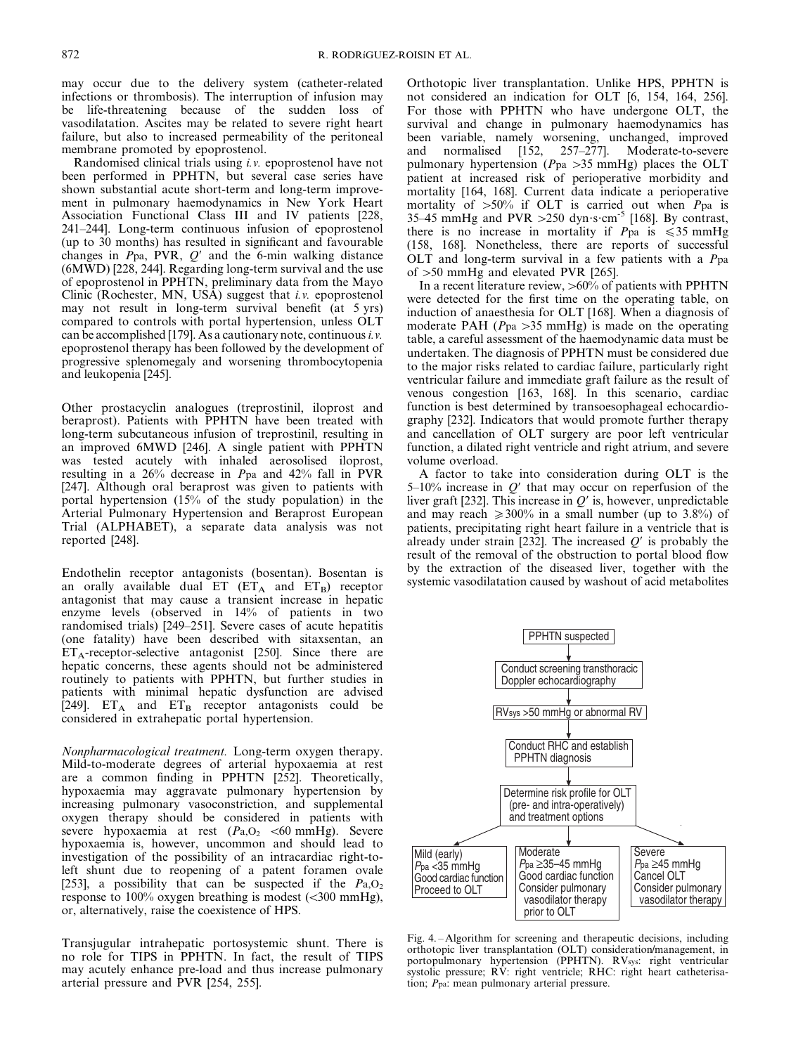may occur due to the delivery system (catheter-related infections or thrombosis). The interruption of infusion may be life-threatening because of the sudden loss of vasodilatation. Ascites may be related to severe right heart failure, but also to increased permeability of the peritoneal membrane promoted by epoprostenol.

Randomised clinical trials using i.v. epoprostenol have not been performed in PPHTN, but several case series have shown substantial acute short-term and long-term improvement in pulmonary haemodynamics in New York Heart Association Functional Class III and IV patients [228, 241–244]. Long-term continuous infusion of epoprostenol (up to 30 months) has resulted in significant and favourable changes in  $Ppa$ , PVR,  $O'$  and the 6-min walking distance (6MWD) [228, 244]. Regarding long-term survival and the use of epoprostenol in PPHTN, preliminary data from the Mayo Clinic (Rochester, MN, USA) suggest that i.v. epoprostenol may not result in long-term survival benefit (at 5 yrs) compared to controls with portal hypertension, unless OLT can be accomplished [179]. As a cautionary note, continuous *i.v.* epoprostenol therapy has been followed by the development of progressive splenomegaly and worsening thrombocytopenia and leukopenia [245].

Other prostacyclin analogues (treprostinil, iloprost and beraprost). Patients with PPHTN have been treated with long-term subcutaneous infusion of treprostinil, resulting in an improved 6MWD [246]. A single patient with PPHTN was tested acutely with inhaled aerosolised iloprost, resulting in a 26% decrease in Ppa and 42% fall in PVR [247]. Although oral beraprost was given to patients with portal hypertension (15% of the study population) in the Arterial Pulmonary Hypertension and Beraprost European Trial (ALPHABET), a separate data analysis was not reported [248].

Endothelin receptor antagonists (bosentan). Bosentan is an orally available dual  $ET \ (ET_A \ and \ ET_B)$  receptor antagonist that may cause a transient increase in hepatic enzyme levels (observed in 14% of patients in two randomised trials) [249–251]. Severe cases of acute hepatitis (one fatality) have been described with sitaxsentan, an  $ET_A$ -receptor-selective antagonist [250]. Since there are hepatic concerns, these agents should not be administered routinely to patients with PPHTN, but further studies in patients with minimal hepatic dysfunction are advised [249].  $ET_A$  and  $ET_B$  receptor antagonists could be considered in extrahepatic portal hypertension.

Nonpharmacological treatment. Long-term oxygen therapy. Mild-to-moderate degrees of arterial hypoxaemia at rest are a common finding in PPHTN [252]. Theoretically, hypoxaemia may aggravate pulmonary hypertension by increasing pulmonary vasoconstriction, and supplemental oxygen therapy should be considered in patients with severe hypoxaemia at rest  $(P_{a, O_2} < 60 \text{ mmHg})$ . Severe hypoxaemia is, however, uncommon and should lead to investigation of the possibility of an intracardiac right-toleft shunt due to reopening of a patent foramen ovale [253], a possibility that can be suspected if the  $Pa, O<sub>2</sub>$ response to 100% oxygen breathing is modest  $(<$ 300 mmHg), or, alternatively, raise the coexistence of HPS.

Transjugular intrahepatic portosystemic shunt. There is no role for TIPS in PPHTN. In fact, the result of TIPS may acutely enhance pre-load and thus increase pulmonary arterial pressure and PVR [254, 255].

Orthotopic liver transplantation. Unlike HPS, PPHTN is not considered an indication for OLT [6, 154, 164, 256]. For those with PPHTN who have undergone OLT, the survival and change in pulmonary haemodynamics has been variable, namely worsening, unchanged, improved<br>and normalised [152, 257–277]. Moderate-to-severe and normalised  $[152, 257-277]$ . pulmonary hypertension ( $Ppa > 35$  mmHg) places the OLT patient at increased risk of perioperative morbidity and mortality [164, 168]. Current data indicate a perioperative mortality of  $>50\%$  if OLT is carried out when Ppa is 35–45 mmHg and PVR  $>250$  dyn $\cdot$ s $\cdot$ cm<sup>-5</sup> [168]. By contrast, there is no increase in mortality if  $P_{pa}$  is  $\leq 35$  mmHg (158, 168]. Nonetheless, there are reports of successful OLT and long-term survival in a few patients with a Ppa of  $>50$  mmHg and elevated PVR [265].

In a recent literature review,  $>60\%$  of patients with PPHTN were detected for the first time on the operating table, on induction of anaesthesia for OLT [168]. When a diagnosis of moderate PAH ( $Ppa > 35$  mmHg) is made on the operating table, a careful assessment of the haemodynamic data must be undertaken. The diagnosis of PPHTN must be considered due to the major risks related to cardiac failure, particularly right ventricular failure and immediate graft failure as the result of venous congestion [163, 168]. In this scenario, cardiac function is best determined by transoesophageal echocardiography [232]. Indicators that would promote further therapy and cancellation of OLT surgery are poor left ventricular function, a dilated right ventricle and right atrium, and severe volume overload.

A factor to take into consideration during OLT is the 5–10% increase in  $Q'$  that may occur on reperfusion of the liver graft [232]. This increase in  $Q'$  is, however, unpredictable and may reach  $\geq 300\%$  in a small number (up to 3.8%) of patients, precipitating right heart failure in a ventricle that is already under strain [232]. The increased  $Q'$  is probably the result of the removal of the obstruction to portal blood flow by the extraction of the diseased liver, together with the systemic vasodilatation caused by washout of acid metabolites



Fig. 4. – Algorithm for screening and therapeutic decisions, including orthotopic liver transplantation (OLT) consideration/management, in portopulmonary hypertension (PPHTN). RVsys: right ventricular systolic pressure; RV: right ventricle; RHC: right heart catheterisation; Ppa: mean pulmonary arterial pressure.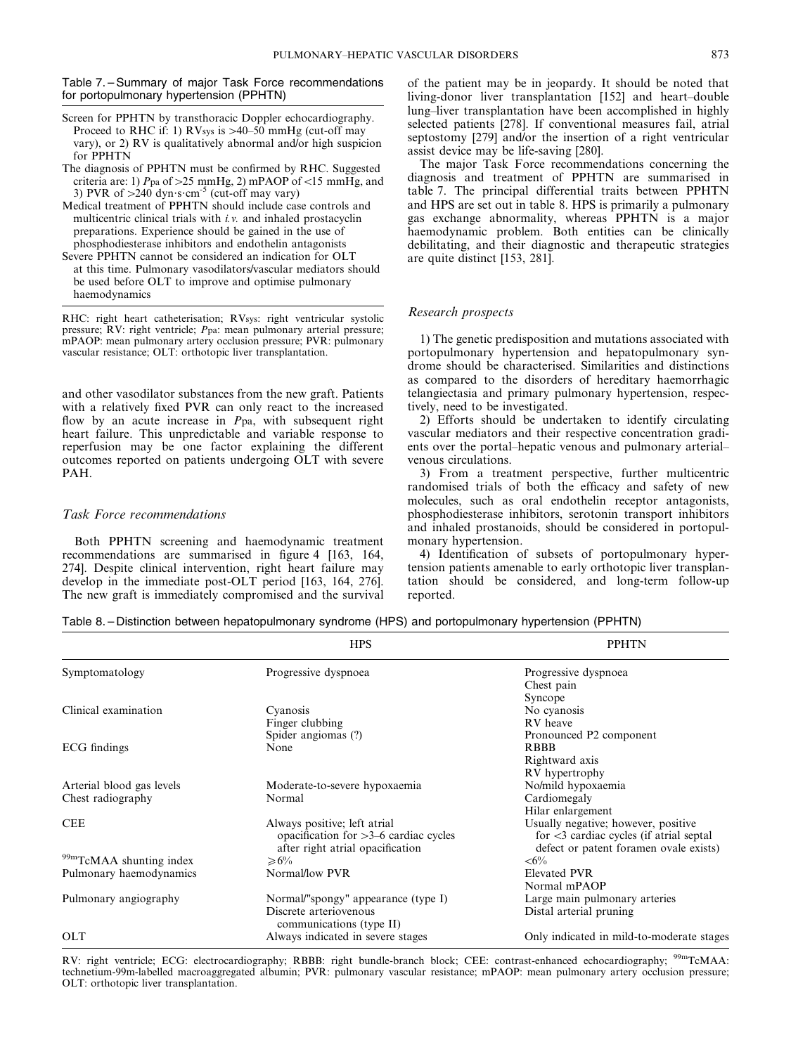Table 7. – Summary of major Task Force recommendations for portopulmonary hypertension (PPHTN)

- Screen for PPHTN by transthoracic Doppler echocardiography. Proceed to RHC if: 1) RVsys is  $>40-50$  mmHg (cut-off may vary), or 2) RV is qualitatively abnormal and/or high suspicion for PPHTN
- The diagnosis of PPHTN must be confirmed by RHC. Suggested criteria are: 1) Ppa of  $>25$  mmHg, 2) mPAOP of <15 mmHg, and 3) PVR of  $>240$  dyn s cm<sup>-5</sup> (cut-off may vary)
- Medical treatment of PPHTN should include case controls and multicentric clinical trials with i.v. and inhaled prostacyclin preparations. Experience should be gained in the use of phosphodiesterase inhibitors and endothelin antagonists
- Severe PPHTN cannot be considered an indication for OLT at this time. Pulmonary vasodilators/vascular mediators should be used before OLT to improve and optimise pulmonary haemodynamics

RHC: right heart catheterisation; RVsys: right ventricular systolic pressure; RV: right ventricle; Ppa: mean pulmonary arterial pressure; mPAOP: mean pulmonary artery occlusion pressure; PVR: pulmonary vascular resistance; OLT: orthotopic liver transplantation.

and other vasodilator substances from the new graft. Patients with a relatively fixed PVR can only react to the increased flow by an acute increase in P<sub>pa</sub>, with subsequent right heart failure. This unpredictable and variable response to reperfusion may be one factor explaining the different outcomes reported on patients undergoing OLT with severe PAH.

#### Task Force recommendations

Both PPHTN screening and haemodynamic treatment recommendations are summarised in figure 4 [163, 164, 274]. Despite clinical intervention, right heart failure may develop in the immediate post-OLT period [163, 164, 276]. The new graft is immediately compromised and the survival

of the patient may be in jeopardy. It should be noted that living-donor liver transplantation [152] and heart–double lung–liver transplantation have been accomplished in highly selected patients [278]. If conventional measures fail, atrial septostomy [279] and/or the insertion of a right ventricular assist device may be life-saving [280].

The major Task Force recommendations concerning the diagnosis and treatment of PPHTN are summarised in table 7. The principal differential traits between PPHTN and HPS are set out in table 8. HPS is primarily a pulmonary gas exchange abnormality, whereas PPHTN is a major haemodynamic problem. Both entities can be clinically debilitating, and their diagnostic and therapeutic strategies are quite distinct [153, 281].

#### Research prospects

1) The genetic predisposition and mutations associated with portopulmonary hypertension and hepatopulmonary syndrome should be characterised. Similarities and distinctions as compared to the disorders of hereditary haemorrhagic telangiectasia and primary pulmonary hypertension, respectively, need to be investigated.

2) Efforts should be undertaken to identify circulating vascular mediators and their respective concentration gradients over the portal–hepatic venous and pulmonary arterial– venous circulations.

3) From a treatment perspective, further multicentric randomised trials of both the efficacy and safety of new molecules, such as oral endothelin receptor antagonists, phosphodiesterase inhibitors, serotonin transport inhibitors and inhaled prostanoids, should be considered in portopulmonary hypertension.

4) Identification of subsets of portopulmonary hypertension patients amenable to early orthotopic liver transplantation should be considered, and long-term follow-up reported.

Table 8. – Distinction between hepatopulmonary syndrome (HPS) and portopulmonary hypertension (PPHTN)

|                           | <b>HPS</b>                                                                                                  | <b>PPHTN</b>                                                                                                                              |  |
|---------------------------|-------------------------------------------------------------------------------------------------------------|-------------------------------------------------------------------------------------------------------------------------------------------|--|
| Symptomatology            | Progressive dyspnoea                                                                                        | Progressive dyspnoea<br>Chest pain                                                                                                        |  |
|                           |                                                                                                             | Syncope                                                                                                                                   |  |
| Clinical examination      | Cyanosis                                                                                                    | No cyanosis                                                                                                                               |  |
|                           | Finger clubbing                                                                                             | RV heave                                                                                                                                  |  |
|                           | Spider angiomas (?)                                                                                         | Pronounced P2 component                                                                                                                   |  |
| ECG findings              | None                                                                                                        | <b>RBBB</b>                                                                                                                               |  |
|                           |                                                                                                             | Rightward axis                                                                                                                            |  |
|                           |                                                                                                             | RV hypertrophy                                                                                                                            |  |
| Arterial blood gas levels | Moderate-to-severe hypoxaemia                                                                               | No/mild hypoxaemia                                                                                                                        |  |
| Chest radiography         | Normal                                                                                                      | Cardiomegaly                                                                                                                              |  |
|                           |                                                                                                             | Hilar enlargement                                                                                                                         |  |
| <b>CEE</b>                | Always positive; left atrial<br>opacification for $>3-6$ cardiac cycles<br>after right atrial opacification | Usually negative; however, positive<br>for $\langle 3 \rangle$ cardiac cycles (if atrial septal<br>defect or patent foramen ovale exists) |  |
| 99mTcMAA shunting index   | $\ge 6\%$                                                                                                   | $<\!\!6\!\%$                                                                                                                              |  |
| Pulmonary haemodynamics   | Normal/low PVR                                                                                              | <b>Elevated PVR</b>                                                                                                                       |  |
|                           |                                                                                                             | Normal mPAOP                                                                                                                              |  |
| Pulmonary angiography     | Normal/"spongy" appearance (type I)                                                                         | Large main pulmonary arteries                                                                                                             |  |
|                           | Discrete arteriovenous<br>communications (type II)                                                          | Distal arterial pruning                                                                                                                   |  |
| <b>OLT</b>                | Always indicated in severe stages                                                                           | Only indicated in mild-to-moderate stages                                                                                                 |  |
|                           |                                                                                                             |                                                                                                                                           |  |

RV: right ventricle; ECG: electrocardiography; RBBB: right bundle-branch block; CEE: contrast-enhanced echocardiography; 99mTcMAA: technetium-99m-labelled macroaggregated albumin; PVR: pulmonary vascular resistance; mPAOP: mean pulmonary artery occlusion pressure; OLT: orthotopic liver transplantation.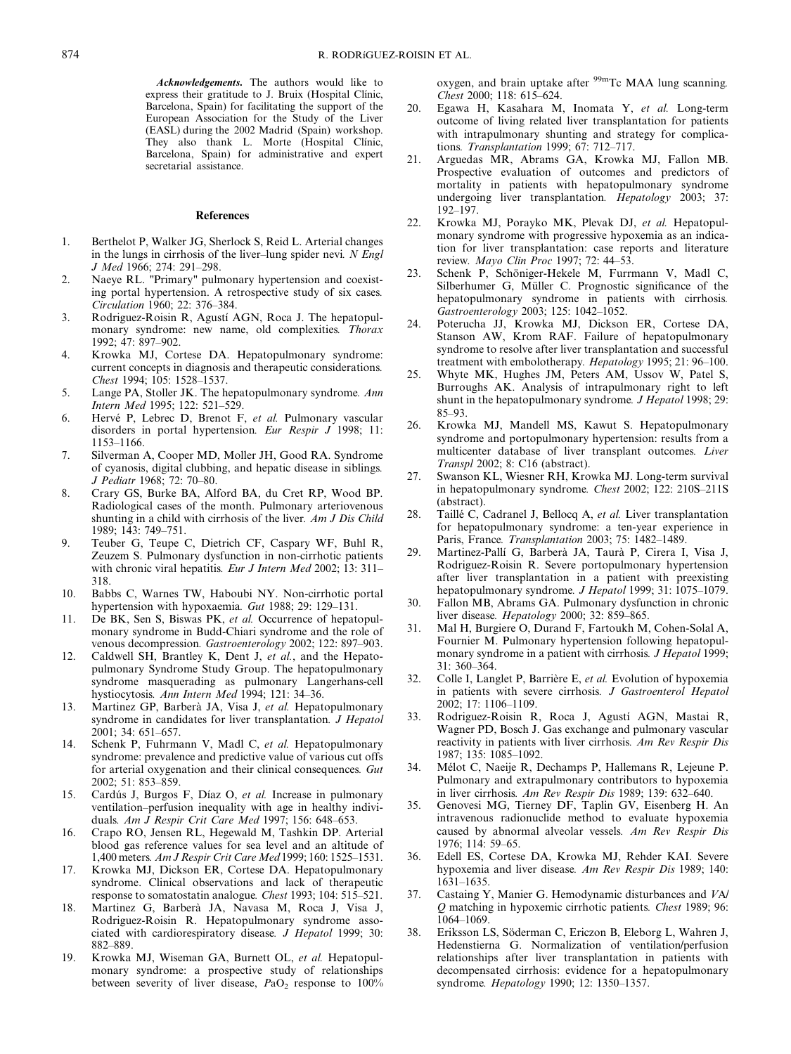Acknowledgements. The authors would like to express their gratitude to J. Bruix (Hospital Clínic, Barcelona, Spain) for facilitating the support of the European Association for the Study of the Liver (EASL) during the 2002 Madrid (Spain) workshop. They also thank L. Morte (Hospital Clinic, Barcelona, Spain) for administrative and expert secretarial assistance.

#### References

- 1. Berthelot P, Walker JG, Sherlock S, Reid L. Arterial changes in the lungs in cirrhosis of the liver–lung spider nevi. N Engl J Med 1966; 274: 291–298.
- 2. Naeye RL. "Primary" pulmonary hypertension and coexisting portal hypertension. A retrospective study of six cases. Circulation 1960; 22: 376–384.
- 3. Rodriguez-Roisin R, Agustí AGN, Roca J. The hepatopulmonary syndrome: new name, old complexities. Thorax 1992; 47: 897–902.
- 4. Krowka MJ, Cortese DA. Hepatopulmonary syndrome: current concepts in diagnosis and therapeutic considerations. Chest 1994; 105: 1528–1537.
- 5. Lange PA, Stoller JK. The hepatopulmonary syndrome. Ann Intern Med 1995; 122: 521–529.
- 6. Hervé P, Lebrec D, Brenot F, et al. Pulmonary vascular disorders in portal hypertension. Eur Respir J 1998; 11: 1153–1166.
- 7. Silverman A, Cooper MD, Moller JH, Good RA. Syndrome of cyanosis, digital clubbing, and hepatic disease in siblings. J Pediatr 1968; 72: 70–80.
- 8. Crary GS, Burke BA, Alford BA, du Cret RP, Wood BP. Radiological cases of the month. Pulmonary arteriovenous shunting in a child with cirrhosis of the liver. Am J Dis Child 1989; 143: 749–751.
- 9. Teuber G, Teupe C, Dietrich CF, Caspary WF, Buhl R, Zeuzem S. Pulmonary dysfunction in non-cirrhotic patients with chronic viral hepatitis. Eur J Intern Med 2002; 13: 311-318.
- 10. Babbs C, Warnes TW, Haboubi NY. Non-cirrhotic portal hypertension with hypoxaemia. Gut 1988; 29: 129–131.
- 11. De BK, Sen S, Biswas PK, et al. Occurrence of hepatopulmonary syndrome in Budd-Chiari syndrome and the role of venous decompression. Gastroenterology 2002; 122: 897–903.
- 12. Caldwell SH, Brantley K, Dent J, et al., and the Hepatopulmonary Syndrome Study Group. The hepatopulmonary syndrome masquerading as pulmonary Langerhans-cell hystiocytosis. Ann Intern Med 1994; 121: 34–36.
- 13. Martinez GP, Barberà JA, Visa J, et al. Hepatopulmonary syndrome in candidates for liver transplantation. J Hepatol 2001; 34: 651–657.
- 14. Schenk P, Fuhrmann V, Madl C, et al. Hepatopulmonary syndrome: prevalence and predictive value of various cut offs for arterial oxygenation and their clinical consequences. Gut 2002; 51: 853–859.
- 15. Cardús J, Burgos F, Díaz O, et al. Increase in pulmonary ventilation–perfusion inequality with age in healthy individuals. Am J Respir Crit Care Med 1997; 156: 648–653.
- 16. Crapo RO, Jensen RL, Hegewald M, Tashkin DP. Arterial blood gas reference values for sea level and an altitude of 1,400 meters. Am J Respir Crit Care Med 1999; 160: 1525–1531.
- 17. Krowka MJ, Dickson ER, Cortese DA. Hepatopulmonary syndrome. Clinical observations and lack of therapeutic response to somatostatin analogue. Chest 1993; 104: 515–521.
- 18. Martinez G, Barbera` JA, Navasa M, Roca J, Visa J, Rodriguez-Roisin R. Hepatopulmonary syndrome associated with cardiorespiratory disease. J Hepatol 1999; 30: 882–889.
- 19. Krowka MJ, Wiseman GA, Burnett OL, et al. Hepatopulmonary syndrome: a prospective study of relationships between severity of liver disease,  $PaO<sub>2</sub>$  response to  $100\%$

oxygen, and brain uptake after <sup>99m</sup>Tc MAA lung scanning. Chest 2000; 118: 615–624.

- 20. Egawa H, Kasahara M, Inomata Y, et al. Long-term outcome of living related liver transplantation for patients with intrapulmonary shunting and strategy for complications. Transplantation 1999; 67: 712–717.
- 21. Arguedas MR, Abrams GA, Krowka MJ, Fallon MB. Prospective evaluation of outcomes and predictors of mortality in patients with hepatopulmonary syndrome undergoing liver transplantation. *Hepatology* 2003; 37: 192–197.
- 22. Krowka MJ, Porayko MK, Plevak DJ, et al. Hepatopulmonary syndrome with progressive hypoxemia as an indication for liver transplantation: case reports and literature review. Mayo Clin Proc 1997; 72: 44-53.
- 23. Schenk P, Schöniger-Hekele M, Furrmann V, Madl C, Silberhumer G, Müller C. Prognostic significance of the hepatopulmonary syndrome in patients with cirrhosis. Gastroenterology 2003; 125: 1042–1052.
- 24. Poterucha JJ, Krowka MJ, Dickson ER, Cortese DA, Stanson AW, Krom RAF. Failure of hepatopulmonary syndrome to resolve after liver transplantation and successful treatment with embolotherapy. Hepatology 1995; 21: 96–100.
- 25. Whyte MK, Hughes JM, Peters AM, Ussov W, Patel S, Burroughs AK. Analysis of intrapulmonary right to left shunt in the hepatopulmonary syndrome. *J Hepatol* 1998; 29: 85–93.
- 26. Krowka MJ, Mandell MS, Kawut S. Hepatopulmonary syndrome and portopulmonary hypertension: results from a multicenter database of liver transplant outcomes. Liver Transpl 2002; 8: C16 (abstract).
- 27. Swanson KL, Wiesner RH, Krowka MJ. Long-term survival in hepatopulmonary syndrome. Chest 2002; 122: 210S–211S (abstract).
- 28. Taillé C, Cadranel J, Bellocq A, et al. Liver transplantation for hepatopulmonary syndrome: a ten-year experience in Paris, France. Transplantation 2003; 75: 1482–1489.
- 29. Martinez-Pallí G, Barberà JA, Taurà P, Cirera I, Visa J, Rodriguez-Roisin R. Severe portopulmonary hypertension after liver transplantation in a patient with preexisting hepatopulmonary syndrome. J Hepatol 1999; 31: 1075–1079.
- 30. Fallon MB, Abrams GA. Pulmonary dysfunction in chronic liver disease. Hepatology 2000; 32: 859–865.
- 31. Mal H, Burgiere O, Durand F, Fartoukh M, Cohen-Solal A, Fournier M. Pulmonary hypertension following hepatopulmonary syndrome in a patient with cirrhosis. J Hepatol 1999; 31: 360–364.
- 32. Colle I, Langlet P, Barrière E, et al. Evolution of hypoxemia in patients with severe cirrhosis. J Gastroenterol Hepatol 2002; 17: 1106–1109.
- 33. Rodriguez-Roisin R, Roca J, Agustí AGN, Mastai R, Wagner PD, Bosch J. Gas exchange and pulmonary vascular reactivity in patients with liver cirrhosis. Am Rev Respir Dis 1987; 135: 1085–1092.
- 34. Mélot C, Naeije R, Dechamps P, Hallemans R, Lejeune P. Pulmonary and extrapulmonary contributors to hypoxemia in liver cirrhosis. Am Rev Respir Dis 1989; 139: 632–640.
- 35. Genovesi MG, Tierney DF, Taplin GV, Eisenberg H. An intravenous radionuclide method to evaluate hypoxemia caused by abnormal alveolar vessels. Am Rev Respir Dis 1976; 114: 59–65.
- 36. Edell ES, Cortese DA, Krowka MJ, Rehder KAI. Severe hypoxemia and liver disease. Am Rev Respir Dis 1989; 140: 1631–1635.
- 37. Castaing Y, Manier G. Hemodynamic disturbances and VA/ Q matching in hypoxemic cirrhotic patients. Chest 1989; 96: 1064–1069.
- 38. Eriksson LS, Söderman C, Ericzon B, Eleborg L, Wahren J, Hedenstierna G. Normalization of ventilation/perfusion relationships after liver transplantation in patients with decompensated cirrhosis: evidence for a hepatopulmonary syndrome. Hepatology 1990; 12: 1350–1357.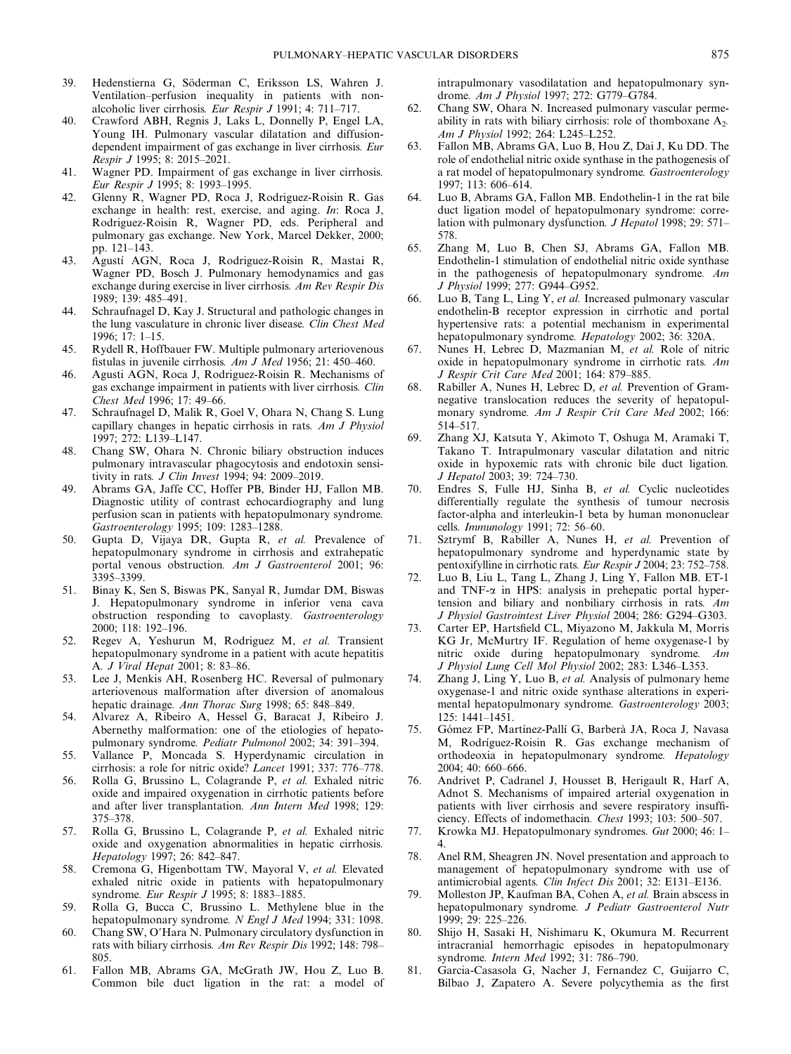- 39. Hedenstierna G, Söderman C, Eriksson LS, Wahren J. Ventilation–perfusion inequality in patients with nonalcoholic liver cirrhosis. Eur Respir J 1991; 4: 711–717.
- 40. Crawford ABH, Regnis J, Laks L, Donnelly P, Engel LA, Young IH. Pulmonary vascular dilatation and diffusiondependent impairment of gas exchange in liver cirrhosis. Eur Respir J 1995; 8: 2015–2021.
- 41. Wagner PD. Impairment of gas exchange in liver cirrhosis. Eur Respir J 1995; 8: 1993–1995.
- 42. Glenny R, Wagner PD, Roca J, Rodriguez-Roisin R. Gas exchange in health: rest, exercise, and aging. In: Roca J, Rodriguez-Roisin R, Wagner PD, eds. Peripheral and pulmonary gas exchange. New York, Marcel Dekker, 2000; pp. 121–143.
- 43. Agustí AGN, Roca J, Rodriguez-Roisin R, Mastai R, Wagner PD, Bosch J. Pulmonary hemodynamics and gas exchange during exercise in liver cirrhosis. Am Rev Respir Dis 1989; 139: 485–491.
- 44. Schraufnagel D, Kay J. Structural and pathologic changes in the lung vasculature in chronic liver disease. Clin Chest Med 1996; 17: 1–15.
- 45. Rydell R, Hoffbauer FW. Multiple pulmonary arteriovenous fistulas in juvenile cirrhosis. Am J Med 1956; 21: 450–460.
- 46. Agusti AGN, Roca J, Rodriguez-Roisin R. Mechanisms of gas exchange impairment in patients with liver cirrhosis. Clin Chest Med 1996; 17: 49–66.
- 47. Schraufnagel D, Malik R, Goel V, Ohara N, Chang S. Lung capillary changes in hepatic cirrhosis in rats. Am J Physiol 1997; 272: L139–L147.
- 48. Chang SW, Ohara N. Chronic biliary obstruction induces pulmonary intravascular phagocytosis and endotoxin sensitivity in rats. J Clin Invest 1994; 94: 2009–2019.
- 49. Abrams GA, Jaffe CC, Hoffer PB, Binder HJ, Fallon MB. Diagnostic utility of contrast echocardiography and lung perfusion scan in patients with hepatopulmonary syndrome. Gastroenterology 1995; 109: 1283–1288.
- 50. Gupta D, Vijaya DR, Gupta R, et al. Prevalence of hepatopulmonary syndrome in cirrhosis and extrahepatic portal venous obstruction. Am J Gastroenterol 2001; 96: 3395–3399.
- 51. Binay K, Sen S, Biswas PK, Sanyal R, Jumdar DM, Biswas J. Hepatopulmonary syndrome in inferior vena cava obstruction responding to cavoplasty. Gastroenterology 2000; 118: 192–196.
- 52. Regev A, Yeshurun M, Rodriguez M, et al. Transient hepatopulmonary syndrome in a patient with acute hepatitis A. J Viral Hepat 2001; 8: 83–86.
- 53. Lee J, Menkis AH, Rosenberg HC. Reversal of pulmonary arteriovenous malformation after diversion of anomalous hepatic drainage. Ann Thorac Surg 1998; 65: 848–849.
- 54. Alvarez A, Ribeiro A, Hessel G, Baracat J, Ribeiro J. Abernethy malformation: one of the etiologies of hepatopulmonary syndrome. Pediatr Pulmonol 2002; 34: 391–394.
- 55. Vallance P, Moncada S. Hyperdynamic circulation in cirrhosis: a role for nitric oxide? Lancet 1991; 337: 776–778.
- 56. Rolla G, Brussino L, Colagrande P, et al. Exhaled nitric oxide and impaired oxygenation in cirrhotic patients before and after liver transplantation. Ann Intern Med 1998; 129: 375–378.
- 57. Rolla G, Brussino L, Colagrande P, et al. Exhaled nitric oxide and oxygenation abnormalities in hepatic cirrhosis. Hepatology 1997; 26: 842–847.
- 58. Cremona G, Higenbottam TW, Mayoral V, et al. Elevated exhaled nitric oxide in patients with hepatopulmonary syndrome. Eur Respir J 1995; 8: 1883-1885.
- 59. Rolla G, Bucca C, Brussino L. Methylene blue in the hepatopulmonary syndrome. N Engl J Med 1994; 331: 1098.
- 60. Chang SW, O'Hara N. Pulmonary circulatory dysfunction in rats with biliary cirrhosis. Am Rev Respir Dis 1992; 148: 798– 805.
- 61. Fallon MB, Abrams GA, McGrath JW, Hou Z, Luo B. Common bile duct ligation in the rat: a model of

intrapulmonary vasodilatation and hepatopulmonary syndrome. Am J Physiol 1997; 272: G779–G784.

- 62. Chang SW, Ohara N. Increased pulmonary vascular permeability in rats with biliary cirrhosis: role of thomboxane  $A_2$ . Am J Physiol 1992; 264: L245–L252.
- 63. Fallon MB, Abrams GA, Luo B, Hou Z, Dai J, Ku DD. The role of endothelial nitric oxide synthase in the pathogenesis of a rat model of hepatopulmonary syndrome. Gastroenterology 1997; 113: 606–614.
- 64. Luo B, Abrams GA, Fallon MB. Endothelin-1 in the rat bile duct ligation model of hepatopulmonary syndrome: correlation with pulmonary dysfunction. J Hepatol 1998; 29: 571-578.
- 65. Zhang M, Luo B, Chen SJ, Abrams GA, Fallon MB. Endothelin-1 stimulation of endothelial nitric oxide synthase in the pathogenesis of hepatopulmonary syndrome. Am J Physiol 1999; 277: G944–G952.
- 66. Luo B, Tang L, Ling Y, et al. Increased pulmonary vascular endothelin-B receptor expression in cirrhotic and portal hypertensive rats: a potential mechanism in experimental hepatopulmonary syndrome. Hepatology 2002; 36: 320A.
- 67. Nunes H, Lebrec D, Mazmanian M, et al. Role of nitric oxide in hepatopulmonary syndrome in cirrhotic rats. Am J Respir Crit Care Med 2001; 164: 879–885.
- 68. Rabiller A, Nunes H, Lebrec D, et al. Prevention of Gramnegative translocation reduces the severity of hepatopulmonary syndrome. Am J Respir Crit Care Med 2002; 166: 514–517.
- 69. Zhang XJ, Katsuta Y, Akimoto T, Oshuga M, Aramaki T, Takano T. Intrapulmonary vascular dilatation and nitric oxide in hypoxemic rats with chronic bile duct ligation. J Hepatol 2003; 39: 724–730.
- 70. Endres S, Fulle HJ, Sinha B, et al. Cyclic nucleotides differentially regulate the synthesis of tumour necrosis factor-alpha and interleukin-1 beta by human mononuclear cells. Immunology 1991; 72: 56–60.
- 71. Sztrymf B, Rabiller A, Nunes H, et al. Prevention of hepatopulmonary syndrome and hyperdynamic state by pentoxifylline in cirrhotic rats. Eur Respir J 2004; 23: 752–758.
- 72. Luo B, Liu L, Tang L, Zhang J, Ling Y, Fallon MB. ET-1 and TNF- $\alpha$  in HPS: analysis in prehepatic portal hypertension and biliary and nonbiliary cirrhosis in rats. Am J Physiol Gastrointest Liver Physiol 2004; 286: G294–G303.
- 73. Carter EP, Hartsfield CL, Miyazono M, Jakkula M, Morris KG Jr, McMurtry IF. Regulation of heme oxygenase-1 by nitric oxide during hepatopulmonary syndrome. Am J Physiol Lung Cell Mol Physiol 2002; 283: L346–L353.
- 74. Zhang J, Ling Y, Luo B, et al. Analysis of pulmonary heme oxygenase-1 and nitric oxide synthase alterations in experimental hepatopulmonary syndrome. Gastroenterology 2003; 125: 1441–1451.
- 75. Gómez FP, Martínez-Pallí G, Barberà JA, Roca J, Navasa M, Rodríguez-Roisin R. Gas exchange mechanism of orthodeoxia in hepatopulmonary syndrome. Hepatology 2004; 40: 660–666.
- 76. Andrivet P, Cadranel J, Housset B, Herigault R, Harf A, Adnot S. Mechanisms of impaired arterial oxygenation in patients with liver cirrhosis and severe respiratory insufficiency. Effects of indomethacin. Chest 1993; 103: 500–507.
- 77. Krowka MJ. Hepatopulmonary syndromes. Gut 2000; 46: 1– 4.
- 78. Anel RM, Sheagren JN. Novel presentation and approach to management of hepatopulmonary syndrome with use of antimicrobial agents. Clin Infect Dis 2001; 32: E131–E136.
- 79. Molleston JP, Kaufman BA, Cohen A, et al. Brain abscess in hepatopulmonary syndrome. J Pediatr Gastroenterol Nutr 1999; 29: 225–226.
- 80. Shijo H, Sasaki H, Nishimaru K, Okumura M. Recurrent intracranial hemorrhagic episodes in hepatopulmonary syndrome. Intern Med 1992; 31: 786–790.
- 81. Garcia-Casasola G, Nacher J, Fernandez C, Guijarro C, Bilbao J, Zapatero A. Severe polycythemia as the first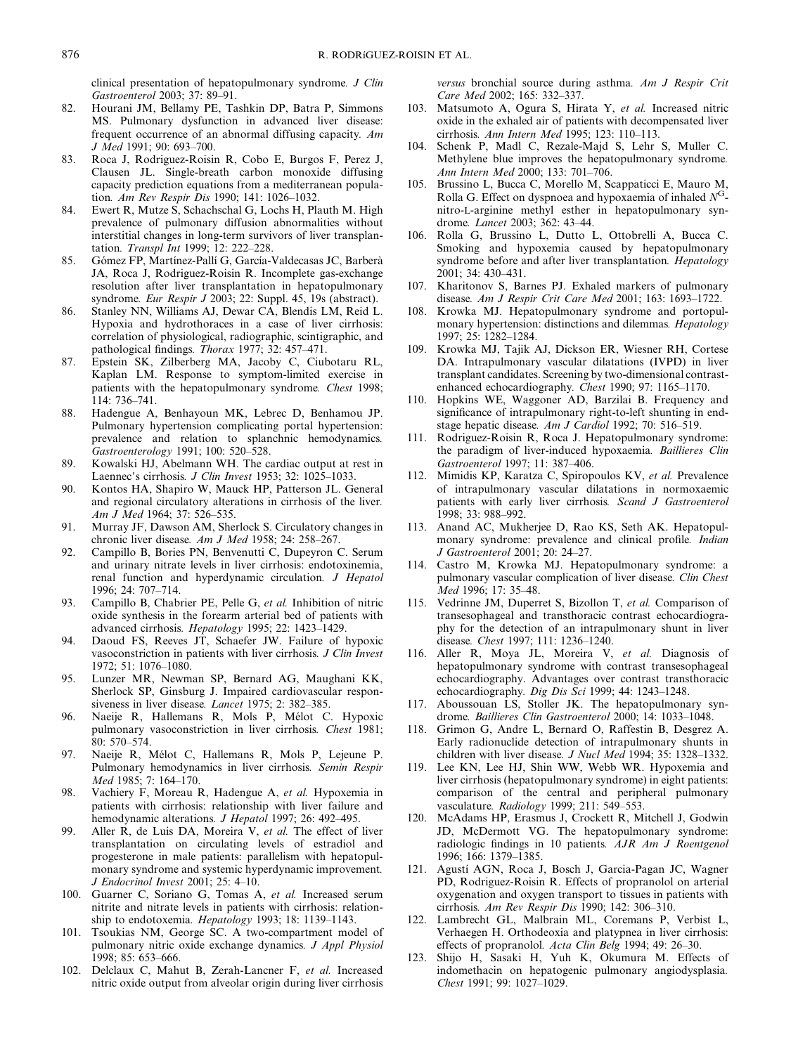clinical presentation of hepatopulmonary syndrome. J Clin Gastroenterol 2003; 37: 89–91.

- 82. Hourani JM, Bellamy PE, Tashkin DP, Batra P, Simmons MS. Pulmonary dysfunction in advanced liver disease: frequent occurrence of an abnormal diffusing capacity. Am J Med 1991; 90: 693–700.
- 83. Roca J, Rodriguez-Roisin R, Cobo E, Burgos F, Perez J, Clausen JL. Single-breath carbon monoxide diffusing capacity prediction equations from a mediterranean population. Am Rev Respir Dis 1990; 141: 1026–1032.
- 84. Ewert R, Mutze S, Schachschal G, Lochs H, Plauth M. High prevalence of pulmonary diffusion abnormalities without interstitial changes in long-term survivors of liver transplantation. Transpl Int 1999; 12: 222–228.
- 85. Gómez FP, Martínez-Pallí G, García-Valdecasas JC, Barberà JA, Roca J, Rodriguez-Roisin R. Incomplete gas-exchange resolution after liver transplantation in hepatopulmonary syndrome. Eur Respir J 2003; 22: Suppl. 45, 19s (abstract).
- 86. Stanley NN, Williams AJ, Dewar CA, Blendis LM, Reid L. Hypoxia and hydrothoraces in a case of liver cirrhosis: correlation of physiological, radiographic, scintigraphic, and pathological findings. Thorax 1977; 32: 457–471.
- 87. Epstein SK, Zilberberg MA, Jacoby C, Ciubotaru RL, Kaplan LM. Response to symptom-limited exercise in patients with the hepatopulmonary syndrome. Chest 1998; 114: 736–741.
- 88. Hadengue A, Benhayoun MK, Lebrec D, Benhamou JP. Pulmonary hypertension complicating portal hypertension: prevalence and relation to splanchnic hemodynamics. Gastroenterology 1991; 100: 520–528.
- 89. Kowalski HJ, Abelmann WH. The cardiac output at rest in Laennec's cirrhosis. J Clin Invest 1953; 32: 1025-1033.
- 90. Kontos HA, Shapiro W, Mauck HP, Patterson JL. General and regional circulatory alterations in cirrhosis of the liver. Am J Med 1964; 37: 526–535.
- 91. Murray JF, Dawson AM, Sherlock S. Circulatory changes in chronic liver disease. Am J Med 1958; 24: 258–267.
- 92. Campillo B, Bories PN, Benvenutti C, Dupeyron C. Serum and urinary nitrate levels in liver cirrhosis: endotoxinemia, renal function and hyperdynamic circulation. J Hepatol 1996; 24: 707–714.
- 93. Campillo B, Chabrier PE, Pelle G, et al. Inhibition of nitric oxide synthesis in the forearm arterial bed of patients with advanced cirrhosis. Hepatology 1995; 22: 1423–1429.
- 94. Daoud FS, Reeves JT, Schaefer JW. Failure of hypoxic vasoconstriction in patients with liver cirrhosis. J Clin Invest 1972; 51: 1076–1080.
- 95. Lunzer MR, Newman SP, Bernard AG, Maughani KK, Sherlock SP, Ginsburg J. Impaired cardiovascular responsiveness in liver disease. Lancet 1975; 2: 382–385.
- 96. Naeije R, Hallemans R, Mols P, Mélot C. Hypoxic pulmonary vasoconstriction in liver cirrhosis. Chest 1981; 80: 570–574.
- 97. Naeije R, Mélot C, Hallemans R, Mols P, Lejeune P. Pulmonary hemodynamics in liver cirrhosis. Semin Respir Med 1985; 7: 164–170.
- 98. Vachiery F, Moreau R, Hadengue A, et al. Hypoxemia in patients with cirrhosis: relationship with liver failure and hemodynamic alterations. *J Hepatol* 1997; 26: 492-495.
- 99. Aller R, de Luis DA, Moreira V, et al. The effect of liver transplantation on circulating levels of estradiol and progesterone in male patients: parallelism with hepatopulmonary syndrome and systemic hyperdynamic improvement. J Endocrinol Invest 2001; 25: 4–10.
- 100. Guarner C, Soriano G, Tomas A, et al. Increased serum nitrite and nitrate levels in patients with cirrhosis: relationship to endotoxemia. Hepatology 1993; 18: 1139-1143.
- 101. Tsoukias NM, George SC. A two-compartment model of pulmonary nitric oxide exchange dynamics. J Appl Physiol 1998; 85: 653–666.
- 102. Delclaux C, Mahut B, Zerah-Lancner F, et al. Increased nitric oxide output from alveolar origin during liver cirrhosis

versus bronchial source during asthma. Am J Respir Crit Care Med 2002; 165: 332–337.

- 103. Matsumoto A, Ogura S, Hirata Y, et al. Increased nitric oxide in the exhaled air of patients with decompensated liver cirrhosis. Ann Intern Med 1995; 123: 110–113.
- 104. Schenk P, Madl C, Rezale-Majd S, Lehr S, Muller C. Methylene blue improves the hepatopulmonary syndrome. Ann Intern Med 2000; 133: 701–706.
- 105. Brussino L, Bucca C, Morello M, Scappaticci E, Mauro M, Rolla G. Effect on dyspnoea and hypoxaemia of inhaled  $N<sup>G</sup>$ nitro-L-arginine methyl esther in hepatopulmonary syndrome. Lancet 2003; 362: 43–44.
- 106. Rolla G, Brussino L, Dutto L, Ottobrelli A, Bucca C. Smoking and hypoxemia caused by hepatopulmonary syndrome before and after liver transplantation. Hepatology 2001; 34: 430–431.
- 107. Kharitonov S, Barnes PJ. Exhaled markers of pulmonary disease. Am J Respir Crit Care Med 2001; 163: 1693–1722.
- 108. Krowka MJ. Hepatopulmonary syndrome and portopulmonary hypertension: distinctions and dilemmas. Hepatology 1997; 25: 1282–1284.
- 109. Krowka MJ, Tajik AJ, Dickson ER, Wiesner RH, Cortese DA. Intrapulmonary vascular dilatations (IVPD) in liver transplant candidates. Screening by two-dimensional contrastenhanced echocardiography. Chest 1990; 97: 1165-1170.
- 110. Hopkins WE, Waggoner AD, Barzilai B. Frequency and significance of intrapulmonary right-to-left shunting in endstage hepatic disease. Am J Cardiol 1992; 70: 516–519.
- 111. Rodriguez-Roisin R, Roca J. Hepatopulmonary syndrome: the paradigm of liver-induced hypoxaemia. Baillieres Clin Gastroenterol 1997; 11: 387–406.
- 112. Mimidis KP, Karatza C, Spiropoulos KV, et al. Prevalence of intrapulmonary vascular dilatations in normoxaemic patients with early liver cirrhosis. Scand J Gastroenterol 1998; 33: 988–992.
- 113. Anand AC, Mukherjee D, Rao KS, Seth AK. Hepatopulmonary syndrome: prevalence and clinical profile. Indian J Gastroenterol 2001; 20: 24–27.
- 114. Castro M, Krowka MJ. Hepatopulmonary syndrome: a pulmonary vascular complication of liver disease. Clin Chest Med 1996; 17: 35–48.
- 115. Vedrinne JM, Duperret S, Bizollon T, et al. Comparison of transesophageal and transthoracic contrast echocardiography for the detection of an intrapulmonary shunt in liver disease. Chest 1997; 111: 1236–1240.
- 116. Aller R, Moya JL, Moreira V, et al. Diagnosis of hepatopulmonary syndrome with contrast transesophageal echocardiography. Advantages over contrast transthoracic echocardiography. Dig Dis Sci 1999; 44: 1243-1248.
- 117. Aboussouan LS, Stoller JK. The hepatopulmonary syndrome. Baillieres Clin Gastroenterol 2000; 14: 1033–1048.
- 118. Grimon G, Andre L, Bernard O, Raffestin B, Desgrez A. Early radionuclide detection of intrapulmonary shunts in children with liver disease. J Nucl Med 1994; 35: 1328–1332.
- 119. Lee KN, Lee HJ, Shin WW, Webb WR. Hypoxemia and liver cirrhosis (hepatopulmonary syndrome) in eight patients: comparison of the central and peripheral pulmonary vasculature. Radiology 1999; 211: 549–553.
- 120. McAdams HP, Erasmus J, Crockett R, Mitchell J, Godwin JD, McDermott VG. The hepatopulmonary syndrome: radiologic findings in 10 patients. AJR Am J Roentgenol 1996; 166: 1379–1385.
- 121. Agustí AGN, Roca J, Bosch J, Garcia-Pagan JC, Wagner PD, Rodriguez-Roisin R. Effects of propranolol on arterial oxygenation and oxygen transport to tissues in patients with cirrhosis. Am Rev Respir Dis 1990; 142: 306–310.
- 122. Lambrecht GL, Malbrain ML, Coremans P, Verbist L, Verhaegen H. Orthodeoxia and platypnea in liver cirrhosis: effects of propranolol. Acta Clin Belg 1994; 49: 26–30.
- 123. Shijo H, Sasaki H, Yuh K, Okumura M. Effects of indomethacin on hepatogenic pulmonary angiodysplasia. Chest 1991; 99: 1027–1029.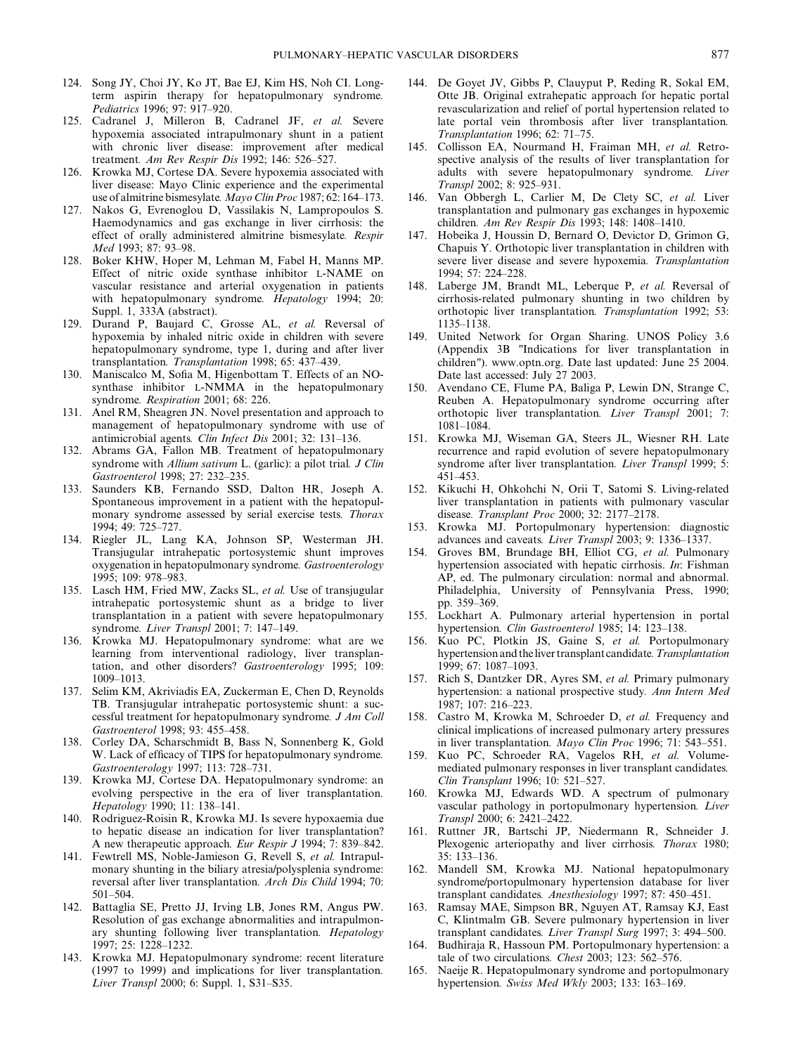- 124. Song JY, Choi JY, Ko JT, Bae EJ, Kim HS, Noh CI. Longterm aspirin therapy for hepatopulmonary syndrome. Pediatrics 1996; 97: 917–920.
- 125. Cadranel J, Milleron B, Cadranel JF, et al. Severe hypoxemia associated intrapulmonary shunt in a patient with chronic liver disease: improvement after medical treatment. Am Rev Respir Dis 1992; 146: 526–527.
- 126. Krowka MJ, Cortese DA. Severe hypoxemia associated with liver disease: Mayo Clinic experience and the experimental use of almitrine bismesylate. Mayo Clin Proc 1987; 62: 164–173.
- 127. Nakos G, Evrenoglou D, Vassilakis N, Lampropoulos S. Haemodynamics and gas exchange in liver cirrhosis: the effect of orally administered almitrine bismesylate. Respir Med 1993; 87: 93–98.
- 128. Boker KHW, Hoper M, Lehman M, Fabel H, Manns MP. Effect of nitric oxide synthase inhibitor L-NAME on vascular resistance and arterial oxygenation in patients with hepatopulmonary syndrome. Hepatology 1994; 20: Suppl. 1, 333A (abstract).
- 129. Durand P, Baujard C, Grosse AL, et al. Reversal of hypoxemia by inhaled nitric oxide in children with severe hepatopulmonary syndrome, type 1, during and after liver transplantation. Transplantation 1998; 65: 437–439.
- 130. Maniscalco M, Sofia M, Higenbottam T. Effects of an NOsynthase inhibitor L-NMMA in the hepatopulmonary syndrome. Respiration 2001; 68: 226.
- 131. Anel RM, Sheagren JN. Novel presentation and approach to management of hepatopulmonary syndrome with use of antimicrobial agents. Clin Infect Dis 2001; 32: 131–136.
- 132. Abrams GA, Fallon MB. Treatment of hepatopulmonary syndrome with Allium sativum L. (garlic): a pilot trial. J Clin Gastroenterol 1998; 27: 232–235.
- 133. Saunders KB, Fernando SSD, Dalton HR, Joseph A. Spontaneous improvement in a patient with the hepatopulmonary syndrome assessed by serial exercise tests. Thorax 1994; 49: 725–727.
- 134. Riegler JL, Lang KA, Johnson SP, Westerman JH. Transjugular intrahepatic portosystemic shunt improves oxygenation in hepatopulmonary syndrome. Gastroenterology 1995; 109: 978–983.
- 135. Lasch HM, Fried MW, Zacks SL, et al. Use of transjugular intrahepatic portosystemic shunt as a bridge to liver transplantation in a patient with severe hepatopulmonary syndrome. Liver Transpl 2001; 7: 147–149.
- 136. Krowka MJ. Hepatopulmonary syndrome: what are we learning from interventional radiology, liver transplantation, and other disorders? Gastroenterology 1995; 109: 1009–1013.
- 137. Selim KM, Akriviadis EA, Zuckerman E, Chen D, Reynolds TB. Transjugular intrahepatic portosystemic shunt: a successful treatment for hepatopulmonary syndrome. J Am Coll Gastroenterol 1998; 93: 455–458.
- 138. Corley DA, Scharschmidt B, Bass N, Sonnenberg K, Gold W. Lack of efficacy of TIPS for hepatopulmonary syndrome. Gastroenterology 1997; 113: 728–731.
- 139. Krowka MJ, Cortese DA. Hepatopulmonary syndrome: an evolving perspective in the era of liver transplantation. Hepatology 1990; 11: 138–141.
- 140. Rodriguez-Roisin R, Krowka MJ. Is severe hypoxaemia due to hepatic disease an indication for liver transplantation? A new therapeutic approach. Eur Respir J 1994; 7: 839–842.
- 141. Fewtrell MS, Noble-Jamieson G, Revell S, et al. Intrapulmonary shunting in the biliary atresia/polysplenia syndrome: reversal after liver transplantation. Arch Dis Child 1994; 70: 501–504.
- 142. Battaglia SE, Pretto JJ, Irving LB, Jones RM, Angus PW. Resolution of gas exchange abnormalities and intrapulmonary shunting following liver transplantation. Hepatology 1997; 25: 1228–1232.
- 143. Krowka MJ. Hepatopulmonary syndrome: recent literature (1997 to 1999) and implications for liver transplantation. Liver Transpl 2000; 6: Suppl. 1, S31–S35.
- 144. De Goyet JV, Gibbs P, Clauyput P, Reding R, Sokal EM, Otte JB. Original extrahepatic approach for hepatic portal revascularization and relief of portal hypertension related to late portal vein thrombosis after liver transplantation. Transplantation 1996; 62: 71–75.
- 145. Collisson EA, Nourmand H, Fraiman MH, et al. Retrospective analysis of the results of liver transplantation for adults with severe hepatopulmonary syndrome. Liver Transpl 2002; 8: 925–931.
- 146. Van Obbergh L, Carlier M, De Clety SC, et al. Liver transplantation and pulmonary gas exchanges in hypoxemic children. Am Rev Respir Dis 1993; 148: 1408–1410.
- 147. Hobeika J, Houssin D, Bernard O, Devictor D, Grimon G, Chapuis Y. Orthotopic liver transplantation in children with severe liver disease and severe hypoxemia. Transplantation 1994; 57: 224–228.
- 148. Laberge JM, Brandt ML, Leberque P, et al. Reversal of cirrhosis-related pulmonary shunting in two children by orthotopic liver transplantation. Transplantation 1992; 53: 1135–1138.
- 149. United Network for Organ Sharing. UNOS Policy 3.6 (Appendix 3B "Indications for liver transplantation in children"). www.optn.org. Date last updated: June 25 2004. Date last accessed: July 27 2003.
- 150. Avendano CE, Flume PA, Baliga P, Lewin DN, Strange C, Reuben A. Hepatopulmonary syndrome occurring after orthotopic liver transplantation. Liver Transpl 2001; 7: 1081–1084.
- 151. Krowka MJ, Wiseman GA, Steers JL, Wiesner RH. Late recurrence and rapid evolution of severe hepatopulmonary syndrome after liver transplantation. Liver Transpl 1999; 5: 451–453.
- 152. Kikuchi H, Ohkohchi N, Orii T, Satomi S. Living-related liver transplantation in patients with pulmonary vascular disease. Transplant Proc 2000; 32: 2177–2178.
- 153. Krowka MJ. Portopulmonary hypertension: diagnostic advances and caveats. Liver Transpl 2003; 9: 1336–1337.
- 154. Groves BM, Brundage BH, Elliot CG, et al. Pulmonary hypertension associated with hepatic cirrhosis. In: Fishman AP, ed. The pulmonary circulation: normal and abnormal. Philadelphia, University of Pennsylvania Press, 1990; pp. 359–369.
- 155. Lockhart A. Pulmonary arterial hypertension in portal hypertension. Clin Gastroenterol 1985; 14: 123–138.
- 156. Kuo PC, Plotkin JS, Gaine S, et al. Portopulmonary hypertension and the liver transplant candidate. Transplantation 1999; 67: 1087–1093.
- 157. Rich S, Dantzker DR, Ayres SM, et al. Primary pulmonary hypertension: a national prospective study. Ann Intern Med 1987; 107: 216–223.
- 158. Castro M, Krowka M, Schroeder D, et al. Frequency and clinical implications of increased pulmonary artery pressures in liver transplantation. Mayo Clin Proc 1996; 71: 543–551.
- 159. Kuo PC, Schroeder RA, Vagelos RH, et al. Volumemediated pulmonary responses in liver transplant candidates. Clin Transplant 1996; 10: 521–527.
- 160. Krowka MJ, Edwards WD. A spectrum of pulmonary vascular pathology in portopulmonary hypertension. Liver Transpl 2000; 6: 2421–2422.
- 161. Ruttner JR, Bartschi JP, Niedermann R, Schneider J. Plexogenic arteriopathy and liver cirrhosis. Thorax 1980; 35: 133–136.
- 162. Mandell SM, Krowka MJ. National hepatopulmonary syndrome/portopulmonary hypertension database for liver transplant candidates. Anesthesiology 1997; 87: 450–451.
- 163. Ramsay MAE, Simpson BR, Nguyen AT, Ramsay KJ, East C, Klintmalm GB. Severe pulmonary hypertension in liver transplant candidates. Liver Transpl Surg 1997; 3: 494–500.
- 164. Budhiraja R, Hassoun PM. Portopulmonary hypertension: a tale of two circulations. Chest 2003; 123: 562–576.
- 165. Naeije R. Hepatopulmonary syndrome and portopulmonary hypertension. Swiss Med Wkly 2003; 133: 163–169.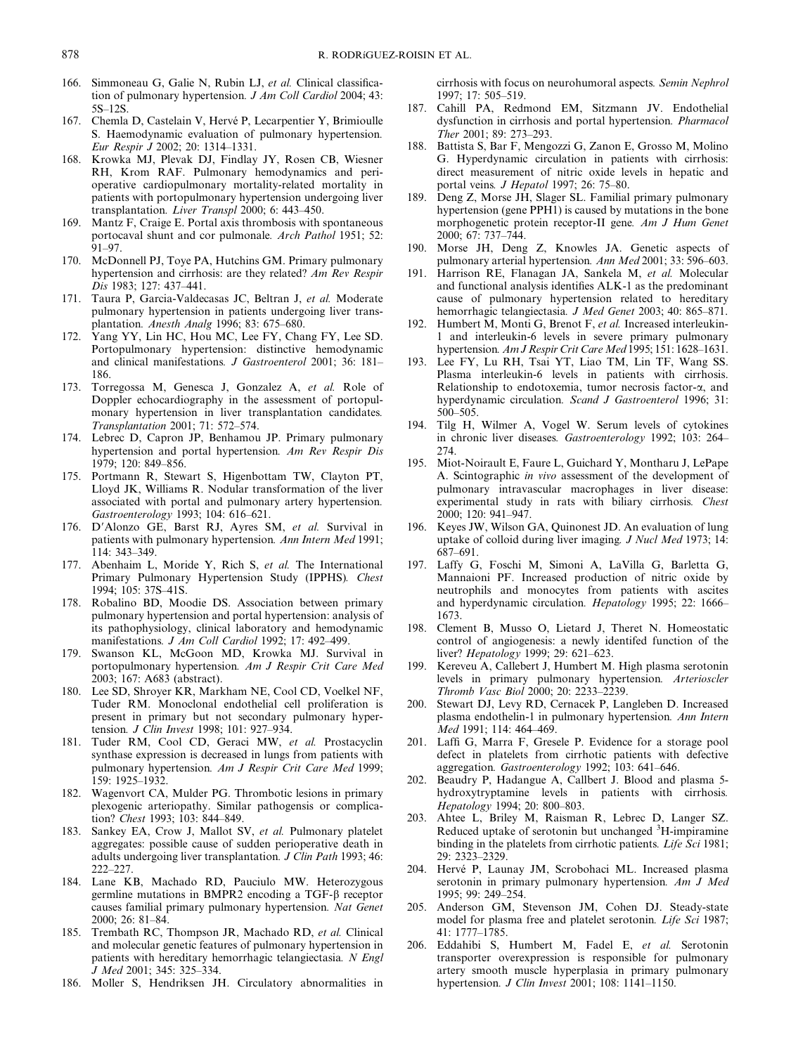- 166. Simmoneau G, Galie N, Rubin LJ, et al. Clinical classification of pulmonary hypertension. J Am Coll Cardiol 2004; 43: 5S–12S.
- 167. Chemla D, Castelain V, Hervé P, Lecarpentier Y, Brimioulle S. Haemodynamic evaluation of pulmonary hypertension. Eur Respir J 2002; 20: 1314–1331.
- 168. Krowka MJ, Plevak DJ, Findlay JY, Rosen CB, Wiesner RH, Krom RAF. Pulmonary hemodynamics and perioperative cardiopulmonary mortality-related mortality in patients with portopulmonary hypertension undergoing liver transplantation. Liver Transpl 2000; 6: 443–450.
- 169. Mantz F, Craige E. Portal axis thrombosis with spontaneous portocaval shunt and cor pulmonale. Arch Pathol 1951; 52: 91–97.
- 170. McDonnell PJ, Toye PA, Hutchins GM. Primary pulmonary hypertension and cirrhosis: are they related? Am Rev Respir Dis 1983; 127: 437–441.
- 171. Taura P, Garcia-Valdecasas JC, Beltran J, et al. Moderate pulmonary hypertension in patients undergoing liver transplantation. Anesth Analg 1996; 83: 675–680.
- 172. Yang YY, Lin HC, Hou MC, Lee FY, Chang FY, Lee SD. Portopulmonary hypertension: distinctive hemodynamic and clinical manifestations. J Gastroenterol 2001; 36: 181– 186.
- 173. Torregossa M, Genesca J, Gonzalez A, et al. Role of Doppler echocardiography in the assessment of portopulmonary hypertension in liver transplantation candidates. Transplantation 2001; 71: 572–574.
- 174. Lebrec D, Capron JP, Benhamou JP. Primary pulmonary hypertension and portal hypertension. Am Rev Respir Dis 1979; 120: 849–856.
- 175. Portmann R, Stewart S, Higenbottam TW, Clayton PT, Lloyd JK, Williams R. Nodular transformation of the liver associated with portal and pulmonary artery hypertension. Gastroenterology 1993; 104: 616–621.
- 176. D'Alonzo GE, Barst RJ, Ayres SM, et al. Survival in patients with pulmonary hypertension. Ann Intern Med 1991; 114: 343–349.
- 177. Abenhaim L, Moride Y, Rich S, et al. The International Primary Pulmonary Hypertension Study (IPPHS). Chest 1994; 105: 37S–41S.
- 178. Robalino BD, Moodie DS. Association between primary pulmonary hypertension and portal hypertension: analysis of its pathophysiology, clinical laboratory and hemodynamic manifestations. J Am Coll Cardiol 1992; 17: 492–499.
- 179. Swanson KL, McGoon MD, Krowka MJ. Survival in portopulmonary hypertension. Am J Respir Crit Care Med 2003; 167: A683 (abstract).
- 180. Lee SD, Shroyer KR, Markham NE, Cool CD, Voelkel NF, Tuder RM. Monoclonal endothelial cell proliferation is present in primary but not secondary pulmonary hypertension. J Clin Invest 1998; 101: 927–934.
- 181. Tuder RM, Cool CD, Geraci MW, et al. Prostacyclin synthase expression is decreased in lungs from patients with pulmonary hypertension. Am J Respir Crit Care Med 1999; 159: 1925–1932.
- 182. Wagenvort CA, Mulder PG. Thrombotic lesions in primary plexogenic arteriopathy. Similar pathogensis or complication? Chest 1993; 103: 844–849.
- 183. Sankey EA, Crow J, Mallot SV, et al. Pulmonary platelet aggregates: possible cause of sudden perioperative death in adults undergoing liver transplantation. J Clin Path 1993; 46: 222–227.
- 184. Lane KB, Machado RD, Pauciulo MW. Heterozygous germline mutations in BMPR2 encoding a TGF- $\beta$  receptor causes familial primary pulmonary hypertension. Nat Genet 2000; 26: 81–84.
- 185. Trembath RC, Thompson JR, Machado RD, et al. Clinical and molecular genetic features of pulmonary hypertension in patients with hereditary hemorrhagic telangiectasia. N Engl J Med 2001; 345: 325–334.
- 186. Moller S, Hendriksen JH. Circulatory abnormalities in

cirrhosis with focus on neurohumoral aspects. Semin Nephrol 1997; 17: 505–519.

- 187. Cahill PA, Redmond EM, Sitzmann JV. Endothelial dysfunction in cirrhosis and portal hypertension. Pharmacol Ther 2001; 89: 273–293.
- 188. Battista S, Bar F, Mengozzi G, Zanon E, Grosso M, Molino G. Hyperdynamic circulation in patients with cirrhosis: direct measurement of nitric oxide levels in hepatic and portal veins. J Hepatol 1997; 26: 75–80.
- 189. Deng Z, Morse JH, Slager SL. Familial primary pulmonary hypertension (gene PPH1) is caused by mutations in the bone morphogenetic protein receptor-II gene. Am J Hum Genet 2000; 67: 737–744.
- 190. Morse JH, Deng Z, Knowles JA. Genetic aspects of pulmonary arterial hypertension. Ann Med 2001; 33: 596–603.
- 191. Harrison RE, Flanagan JA, Sankela M, et al. Molecular and functional analysis identifies ALK-1 as the predominant cause of pulmonary hypertension related to hereditary hemorrhagic telangiectasia. J Med Genet 2003; 40: 865–871.
- 192. Humbert M, Monti G, Brenot F, et al. Increased interleukin-1 and interleukin-6 levels in severe primary pulmonary hypertension. Am J Respir Crit Care Med 1995; 151: 1628–1631.
- 193. Lee FY, Lu RH, Tsai YT, Liao TM, Lin TF, Wang SS. Plasma interleukin-6 levels in patients with cirrhosis. Relationship to endotoxemia, tumor necrosis factor-a, and hyperdynamic circulation. Scand J Gastroenterol 1996; 31: 500–505.
- 194. Tilg H, Wilmer A, Vogel W. Serum levels of cytokines in chronic liver diseases. Gastroenterology 1992; 103: 264– 274.
- 195. Miot-Noirault E, Faure L, Guichard Y, Montharu J, LePape A. Scintographic in vivo assessment of the development of pulmonary intravascular macrophages in liver disease: experimental study in rats with biliary cirrhosis. Chest 2000; 120: 941–947.
- 196. Keyes JW, Wilson GA, Quinonest JD. An evaluation of lung uptake of colloid during liver imaging. J Nucl Med 1973; 14: 687–691.
- 197. Laffy G, Foschi M, Simoni A, LaVilla G, Barletta G, Mannaioni PF. Increased production of nitric oxide by neutrophils and monocytes from patients with ascites and hyperdynamic circulation. Hepatology 1995; 22: 1666– 1673.
- 198. Clement B, Musso O, Lietard J, Theret N. Homeostatic control of angiogenesis: a newly identifed function of the liver? Hepatology 1999; 29: 621–623.
- 199. Kereveu A, Callebert J, Humbert M. High plasma serotonin levels in primary pulmonary hypertension. Arterioscler Thromb Vasc Biol 2000; 20: 2233–2239.
- 200. Stewart DJ, Levy RD, Cernacek P, Langleben D. Increased plasma endothelin-1 in pulmonary hypertension. Ann Intern Med 1991; 114: 464–469.
- 201. Laffi G, Marra F, Gresele P. Evidence for a storage pool defect in platelets from cirrhotic patients with defective aggregation. Gastroenterology 1992; 103: 641–646.
- 202. Beaudry P, Hadangue A, Callbert J. Blood and plasma 5 hydroxytryptamine levels in patients with cirrhosis. Hepatology 1994; 20: 800–803.
- 203. Ahtee L, Briley M, Raisman R, Lebrec D, Langer SZ. Reduced uptake of serotonin but unchanged <sup>3</sup>H-impiramine binding in the platelets from cirrhotic patients. Life Sci 1981; 29: 2323–2329.
- 204. Hervé P, Launay JM, Scrobohaci ML. Increased plasma serotonin in primary pulmonary hypertension. Am J Med 1995; 99: 249–254.
- 205. Anderson GM, Stevenson JM, Cohen DJ. Steady-state model for plasma free and platelet serotonin. Life Sci 1987; 41: 1777–1785.
- 206. Eddahibi S, Humbert M, Fadel E, et al. Serotonin transporter overexpression is responsible for pulmonary artery smooth muscle hyperplasia in primary pulmonary hypertension. J Clin Invest 2001; 108: 1141–1150.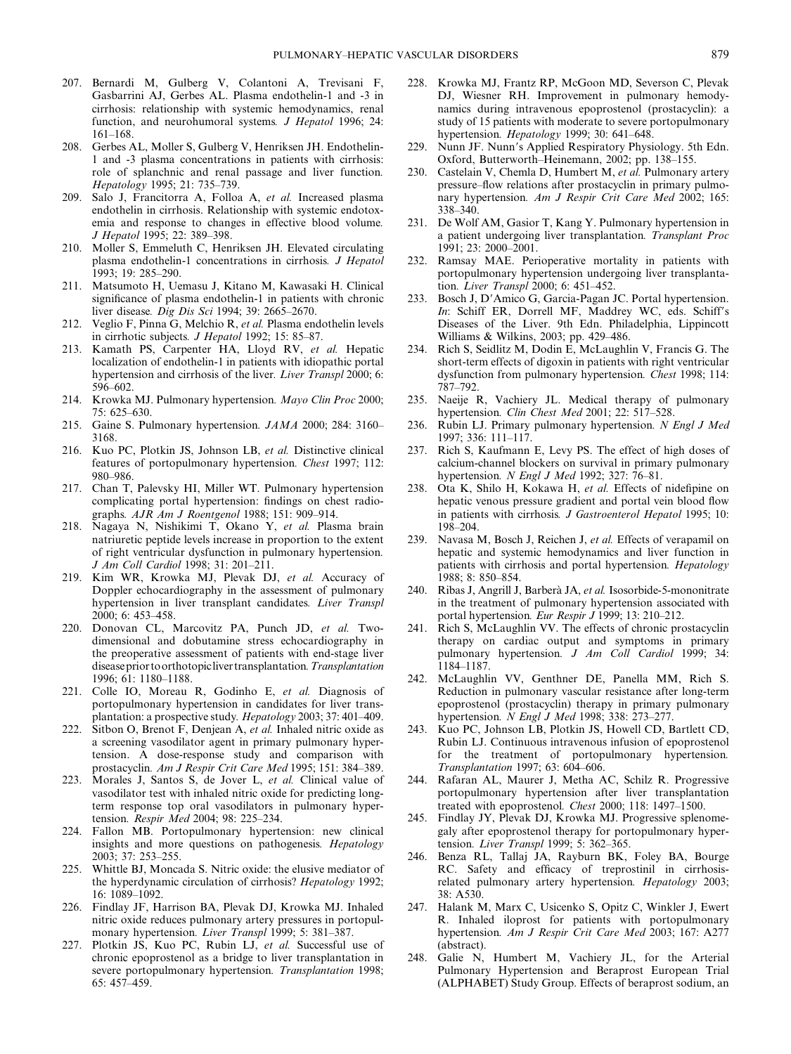- 207. Bernardi M, Gulberg V, Colantoni A, Trevisani F, Gasbarrini AJ, Gerbes AL. Plasma endothelin-1 and -3 in cirrhosis: relationship with systemic hemodynamics, renal function, and neurohumoral systems. *J Hepatol* 1996; 24: 161–168.
- 208. Gerbes AL, Moller S, Gulberg V, Henriksen JH. Endothelin-1 and -3 plasma concentrations in patients with cirrhosis: role of splanchnic and renal passage and liver function. Hepatology 1995; 21: 735–739.
- 209. Salo J, Francitorra A, Folloa A, et al. Increased plasma endothelin in cirrhosis. Relationship with systemic endotoxemia and response to changes in effective blood volume. J Hepatol 1995; 22: 389–398.
- 210. Moller S, Emmeluth C, Henriksen JH. Elevated circulating plasma endothelin-1 concentrations in cirrhosis. J Hepatol 1993; 19: 285–290.
- 211. Matsumoto H, Uemasu J, Kitano M, Kawasaki H. Clinical significance of plasma endothelin-1 in patients with chronic liver disease. Dig Dis Sci 1994; 39: 2665–2670.
- 212. Veglio F, Pinna G, Melchio R, et al. Plasma endothelin levels in cirrhotic subjects. J Hepatol 1992; 15: 85–87.
- 213. Kamath PS, Carpenter HA, Lloyd RV, et al. Hepatic localization of endothelin-1 in patients with idiopathic portal hypertension and cirrhosis of the liver. Liver Transpl 2000; 6: 596–602.
- 214. Krowka MJ. Pulmonary hypertension. Mayo Clin Proc 2000; 75: 625–630.
- 215. Gaine S. Pulmonary hypertension. JAMA 2000; 284: 3160– 3168.
- 216. Kuo PC, Plotkin JS, Johnson LB, et al. Distinctive clinical features of portopulmonary hypertension. Chest 1997; 112: 980–986.
- 217. Chan T, Palevsky HI, Miller WT. Pulmonary hypertension complicating portal hypertension: findings on chest radiographs. AJR Am J Roentgenol 1988; 151: 909–914.
- 218. Nagaya N, Nishikimi T, Okano Y, et al. Plasma brain natriuretic peptide levels increase in proportion to the extent of right ventricular dysfunction in pulmonary hypertension. J Am Coll Cardiol 1998; 31: 201–211.
- 219. Kim WR, Krowka MJ, Plevak DJ, et al. Accuracy of Doppler echocardiography in the assessment of pulmonary hypertension in liver transplant candidates. Liver Transpl 2000; 6: 453–458.
- 220. Donovan CL, Marcovitz PA, Punch JD, et al. Twodimensional and dobutamine stress echocardiography in the preoperative assessment of patients with end-stage liver disease prior to orthotopic liver transplantation. Transplantation 1996; 61: 1180–1188.
- 221. Colle IO, Moreau R, Godinho E, et al. Diagnosis of portopulmonary hypertension in candidates for liver transplantation: a prospective study. Hepatology 2003; 37: 401–409.
- 222. Sitbon O, Brenot F, Denjean A, et al. Inhaled nitric oxide as a screening vasodilator agent in primary pulmonary hypertension. A dose-response study and comparison with prostacyclin. Am J Respir Crit Care Med 1995; 151: 384–389.
- 223. Morales J, Santos S, de Jover L, et al. Clinical value of vasodilator test with inhaled nitric oxide for predicting longterm response top oral vasodilators in pulmonary hypertension. Respir Med 2004; 98: 225–234.
- 224. Fallon MB. Portopulmonary hypertension: new clinical insights and more questions on pathogenesis. Hepatology 2003; 37: 253–255.
- 225. Whittle BJ, Moncada S. Nitric oxide: the elusive mediator of the hyperdynamic circulation of cirrhosis? Hepatology 1992; 16: 1089–1092.
- 226. Findlay JF, Harrison BA, Plevak DJ, Krowka MJ. Inhaled nitric oxide reduces pulmonary artery pressures in portopulmonary hypertension. Liver Transpl 1999; 5: 381–387.
- 227. Plotkin JS, Kuo PC, Rubin LJ, et al. Successful use of chronic epoprostenol as a bridge to liver transplantation in severe portopulmonary hypertension. Transplantation 1998; 65: 457–459.
- 228. Krowka MJ, Frantz RP, McGoon MD, Severson C, Plevak DJ, Wiesner RH. Improvement in pulmonary hemodynamics during intravenous epoprostenol (prostacyclin): a study of 15 patients with moderate to severe portopulmonary hypertension. Hepatology 1999; 30: 641-648.
- 229. Nunn JF. Nunn's Applied Respiratory Physiology. 5th Edn. Oxford, Butterworth–Heinemann, 2002; pp. 138–155.
- 230. Castelain V, Chemla D, Humbert M, et al. Pulmonary artery pressure–flow relations after prostacyclin in primary pulmonary hypertension. Am J Respir Crit Care Med 2002; 165: 338–340.
- 231. De Wolf AM, Gasior T, Kang Y. Pulmonary hypertension in a patient undergoing liver transplantation. Transplant Proc 1991; 23: 2000–2001.
- 232. Ramsay MAE. Perioperative mortality in patients with portopulmonary hypertension undergoing liver transplantation. Liver Transpl 2000; 6: 451–452.
- 233. Bosch J, D'Amico G, Garcia-Pagan JC. Portal hypertension. In: Schiff ER, Dorrell MF, Maddrey WC, eds. Schiff's Diseases of the Liver. 9th Edn. Philadelphia, Lippincott Williams & Wilkins, 2003; pp. 429–486.
- 234. Rich S, Seidlitz M, Dodin E, McLaughlin V, Francis G. The short-term effects of digoxin in patients with right ventricular dysfunction from pulmonary hypertension. Chest 1998; 114: 787–792.
- 235. Naeije R, Vachiery JL. Medical therapy of pulmonary hypertension. Clin Chest Med 2001; 22: 517–528.
- 236. Rubin LJ. Primary pulmonary hypertension. N Engl J Med 1997; 336: 111–117.
- 237. Rich S, Kaufmann E, Levy PS. The effect of high doses of calcium-channel blockers on survival in primary pulmonary hypertension. *N Engl J Med* 1992; 327: 76–81.
- 238. Ota K, Shilo H, Kokawa H, et al. Effects of nidefipine on hepatic venous pressure gradient and portal vein blood flow in patients with cirrhosis. J Gastroenterol Hepatol 1995; 10: 198–204.
- 239. Navasa M, Bosch J, Reichen J, et al. Effects of verapamil on hepatic and systemic hemodynamics and liver function in patients with cirrhosis and portal hypertension. Hepatology 1988; 8: 850–854.
- 240. Ribas J, Angrill J, Barberà JA, et al. Isosorbide-5-mononitrate in the treatment of pulmonary hypertension associated with portal hypertension. Eur Respir J 1999; 13: 210–212.
- 241. Rich S, McLaughlin VV. The effects of chronic prostacyclin therapy on cardiac output and symptoms in primary pulmonary hypertension. J Am Coll Cardiol 1999; 34: 1184–1187.
- 242. McLaughlin VV, Genthner DE, Panella MM, Rich S. Reduction in pulmonary vascular resistance after long-term epoprostenol (prostacyclin) therapy in primary pulmonary hypertension. N Engl J Med 1998; 338: 273–277.
- 243. Kuo PC, Johnson LB, Plotkin JS, Howell CD, Bartlett CD, Rubin LJ. Continuous intravenous infusion of epoprostenol for the treatment of portopulmonary hypertension. Transplantation 1997; 63: 604–606.
- 244. Rafaran AL, Maurer J, Metha AC, Schilz R. Progressive portopulmonary hypertension after liver transplantation treated with epoprostenol. Chest 2000; 118: 1497–1500.
- 245. Findlay JY, Plevak DJ, Krowka MJ. Progressive splenomegaly after epoprostenol therapy for portopulmonary hypertension. Liver Transpl 1999; 5: 362–365.
- 246. Benza RL, Tallaj JA, Rayburn BK, Foley BA, Bourge RC. Safety and efficacy of treprostinil in cirrhosisrelated pulmonary artery hypertension. Hepatology 2003; 38: A530.
- 247. Halank M, Marx C, Usicenko S, Opitz C, Winkler J, Ewert R. Inhaled iloprost for patients with portopulmonary hypertension. Am J Respir Crit Care Med 2003; 167: A277 (abstract).
- 248. Galie N, Humbert M, Vachiery JL, for the Arterial Pulmonary Hypertension and Beraprost European Trial (ALPHABET) Study Group. Effects of beraprost sodium, an